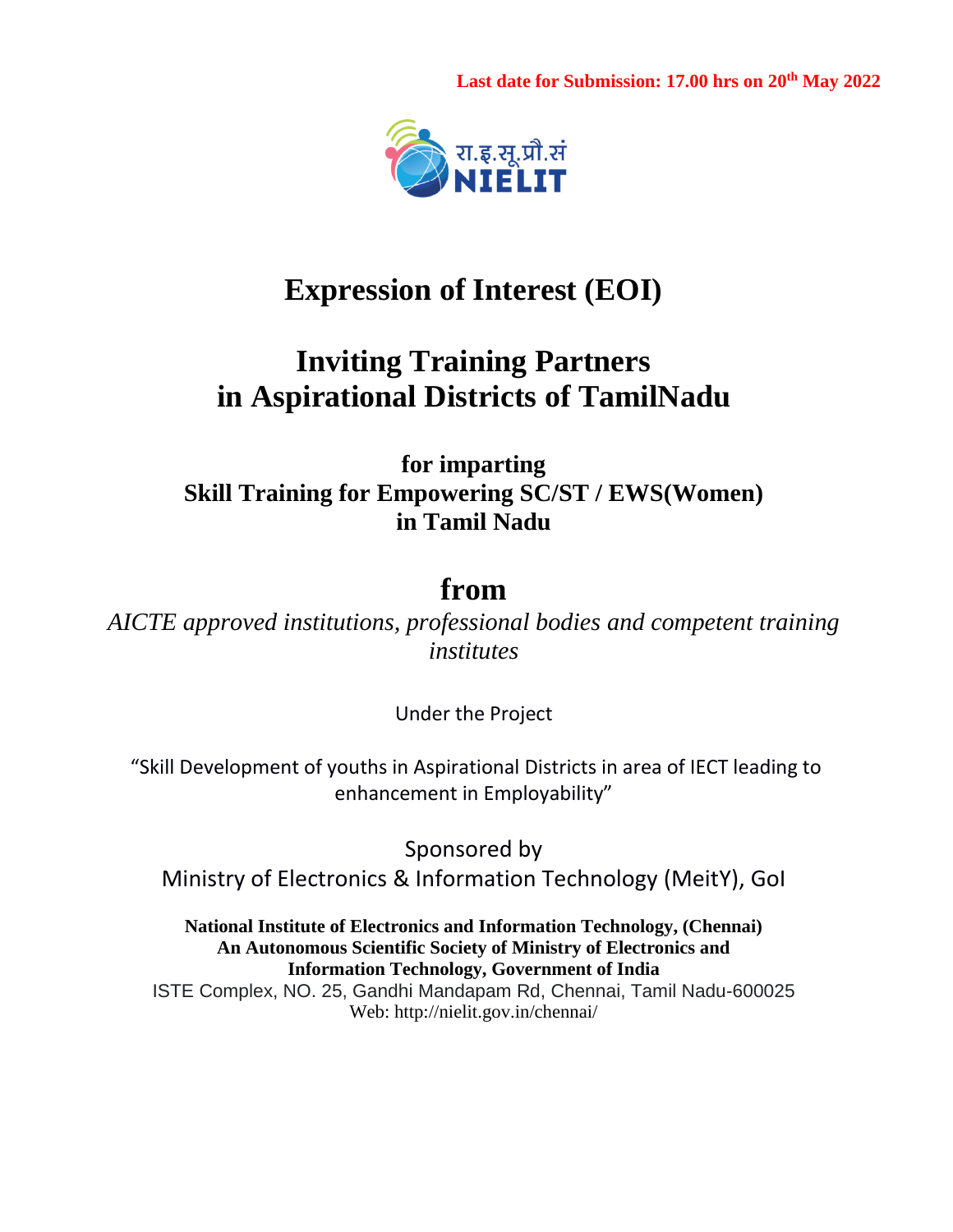Last date for Submission: 17.00 hrs on 20<sup>th</sup> May 2022



# **Expression of Interest (EOI)**

# **Inviting Training Partners in Aspirational Districts of TamilNadu**

**for imparting Skill Training for Empowering SC/ST / EWS(Women) in Tamil Nadu**

# **from**

*AICTE approved institutions, professional bodies and competent training institutes* 

Under the Project

"Skill Development of youths in Aspirational Districts in area of IECT leading to enhancement in Employability"

Sponsored by Ministry of Electronics & Information Technology (MeitY), GoI

**National Institute of Electronics and Information Technology, (Chennai) An Autonomous Scientific Society of Ministry of Electronics and Information Technology, Government of India** ISTE Complex, NO. 25, Gandhi Mandapam Rd, Chennai, Tamil Nadu-600025 Web: http://nielit.gov.in/chennai/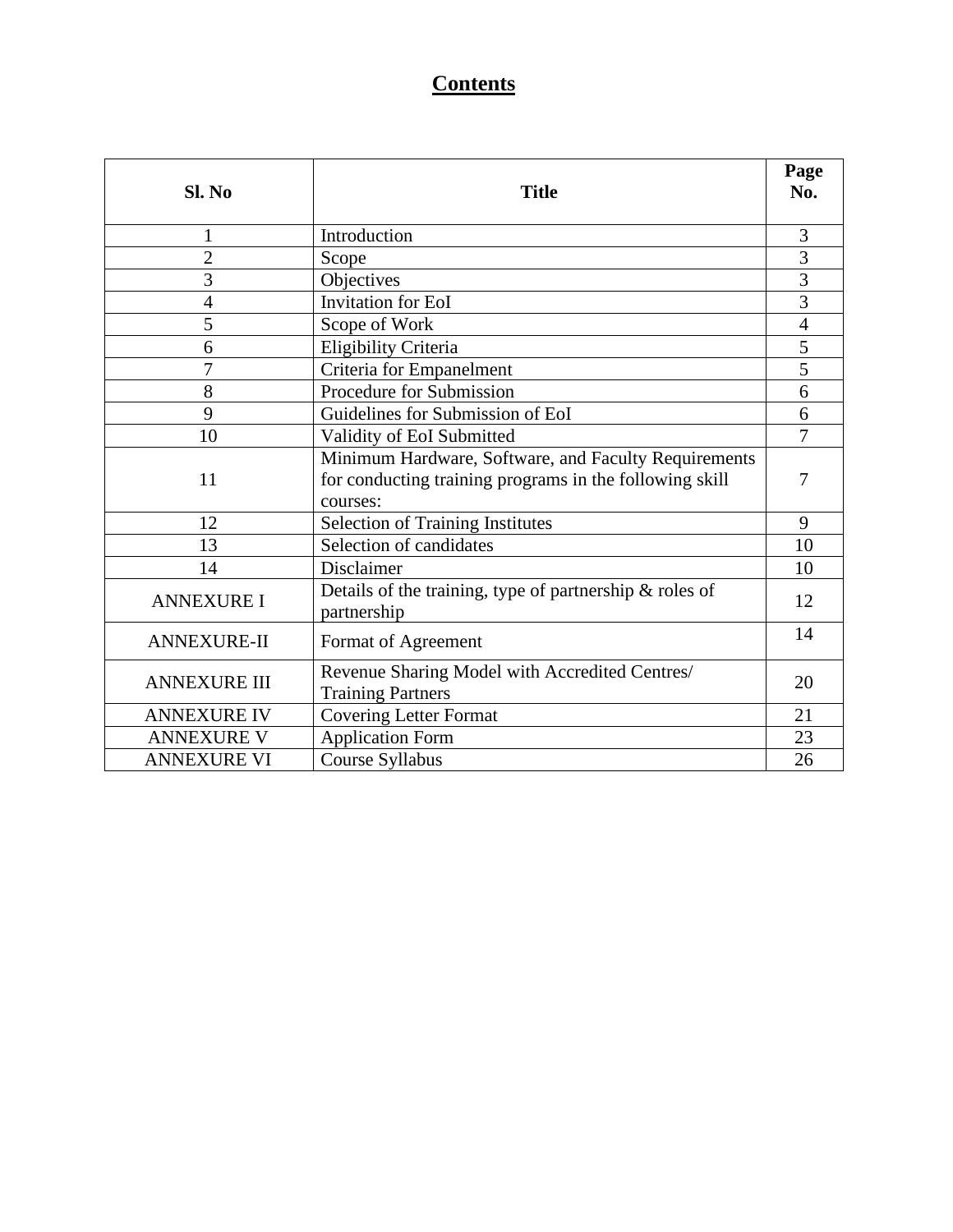## **Contents**

| Sl. No                                                                                            | <b>Title</b>                                                                                                                |                |  |
|---------------------------------------------------------------------------------------------------|-----------------------------------------------------------------------------------------------------------------------------|----------------|--|
| 1                                                                                                 | Introduction                                                                                                                | 3              |  |
| $\overline{c}$                                                                                    | Scope                                                                                                                       | 3              |  |
| 3                                                                                                 | Objectives                                                                                                                  | 3              |  |
| $\overline{4}$                                                                                    | <b>Invitation for EoI</b>                                                                                                   | $\overline{3}$ |  |
| 5                                                                                                 | Scope of Work                                                                                                               | $\overline{4}$ |  |
| 6                                                                                                 | <b>Eligibility Criteria</b>                                                                                                 | 5              |  |
| 7                                                                                                 | Criteria for Empanelment                                                                                                    | 5              |  |
| 8                                                                                                 | Procedure for Submission                                                                                                    | 6              |  |
| 9                                                                                                 | Guidelines for Submission of EoI                                                                                            | 6              |  |
| 10                                                                                                | Validity of EoI Submitted                                                                                                   |                |  |
| 11                                                                                                | Minimum Hardware, Software, and Faculty Requirements<br>for conducting training programs in the following skill<br>courses: |                |  |
| 12                                                                                                | <b>Selection of Training Institutes</b>                                                                                     | 9              |  |
| 13                                                                                                | Selection of candidates                                                                                                     | 10             |  |
| 14                                                                                                | Disclaimer                                                                                                                  | 10             |  |
| <b>ANNEXURE I</b>                                                                                 | Details of the training, type of partnership & roles of<br>partnership                                                      | 12             |  |
| <b>ANNEXURE-II</b>                                                                                | Format of Agreement                                                                                                         | 14             |  |
| Revenue Sharing Model with Accredited Centres/<br><b>ANNEXURE III</b><br><b>Training Partners</b> |                                                                                                                             | 20             |  |
| <b>ANNEXURE IV</b>                                                                                | <b>Covering Letter Format</b>                                                                                               | 21             |  |
| <b>ANNEXURE V</b>                                                                                 | <b>Application Form</b>                                                                                                     | 23             |  |
| Course Syllabus<br><b>ANNEXURE VI</b>                                                             |                                                                                                                             |                |  |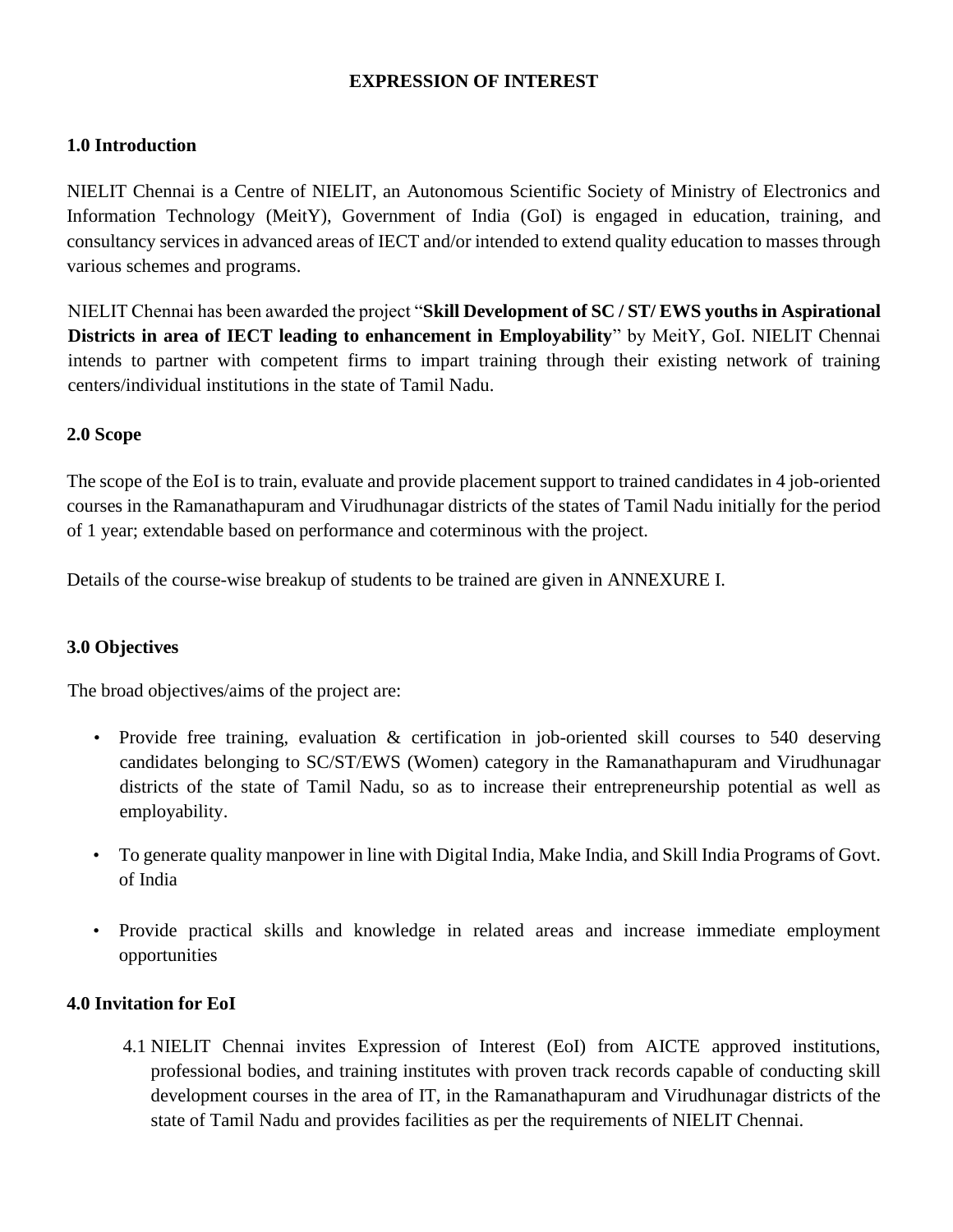#### **EXPRESSION OF INTEREST**

#### **1.0 Introduction**

NIELIT Chennai is a Centre of NIELIT, an Autonomous Scientific Society of Ministry of Electronics and Information Technology (MeitY), Government of India (GoI) is engaged in education, training, and consultancy services in advanced areas of IECT and/or intended to extend quality education to masses through various schemes and programs.

NIELIT Chennai has been awarded the project "**Skill Development of SC / ST/ EWS youths in Aspirational Districts in area of IECT leading to enhancement in Employability**" by MeitY, GoI. NIELIT Chennai intends to partner with competent firms to impart training through their existing network of training centers/individual institutions in the state of Tamil Nadu.

#### **2.0 Scope**

The scope of the EoI is to train, evaluate and provide placement support to trained candidates in 4 job-oriented courses in the Ramanathapuram and Virudhunagar districts of the states of Tamil Nadu initially for the period of 1 year; extendable based on performance and coterminous with the project.

Details of the course-wise breakup of students to be trained are given in ANNEXURE I.

#### **3.0 Objectives**

The broad objectives/aims of the project are:

- Provide free training, evaluation & certification in job-oriented skill courses to 540 deserving candidates belonging to SC/ST/EWS (Women) category in the Ramanathapuram and Virudhunagar districts of the state of Tamil Nadu, so as to increase their entrepreneurship potential as well as employability.
- To generate quality manpower in line with Digital India, Make India, and Skill India Programs of Govt. of India
- Provide practical skills and knowledge in related areas and increase immediate employment opportunities

#### **4.0 Invitation for EoI**

4.1 NIELIT Chennai invites Expression of Interest (EoI) from AICTE approved institutions, professional bodies, and training institutes with proven track records capable of conducting skill development courses in the area of IT, in the Ramanathapuram and Virudhunagar districts of the state of Tamil Nadu and provides facilities as per the requirements of NIELIT Chennai.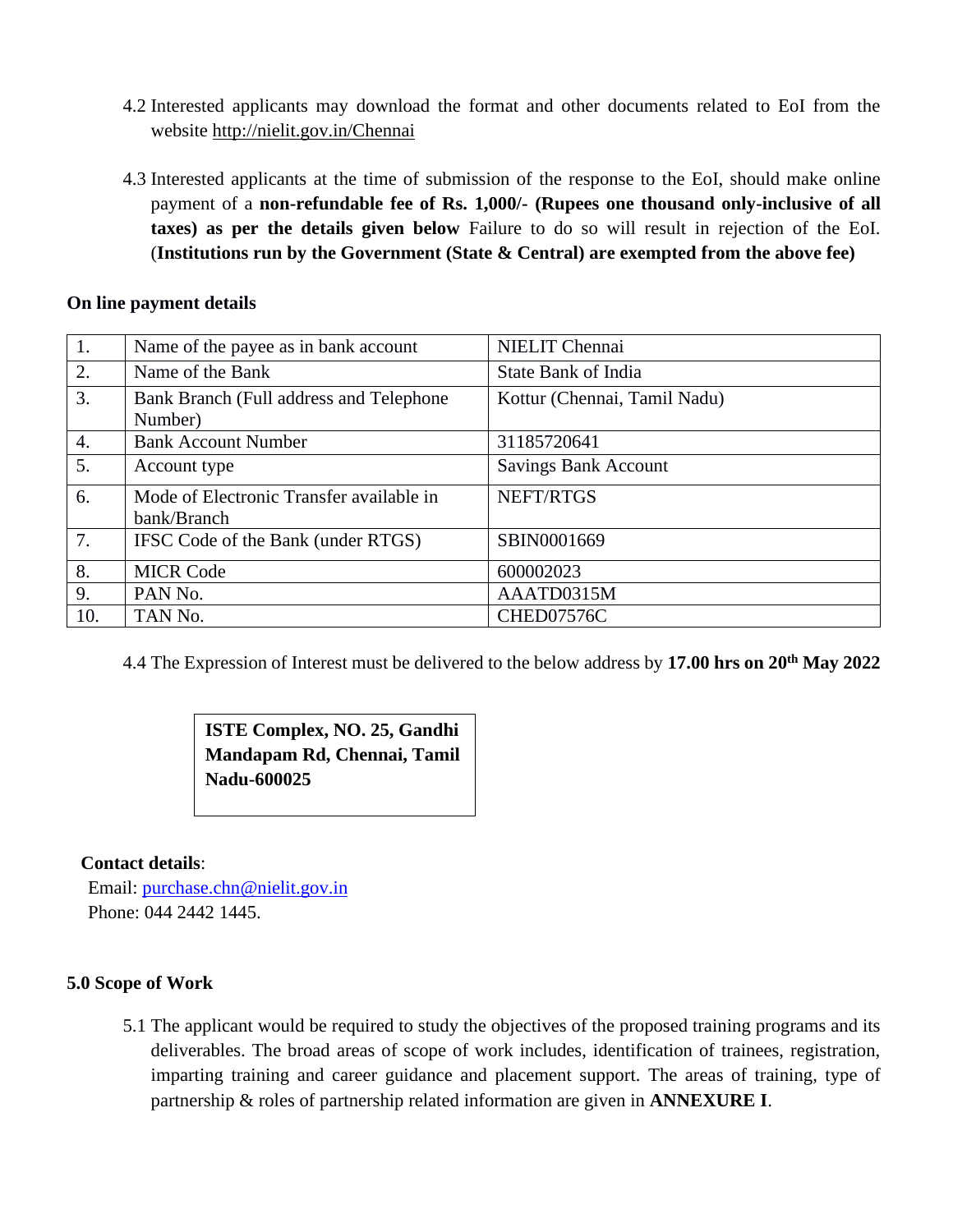- 4.2 Interested applicants may download the format and other documents related to EoI from the website [http://nielit.gov.in/Chennai](http://nielit.gov.in/calicut)
- 4.3 Interested applicants at the time of submission of the response to the EoI, should make online payment of a **non-refundable fee of Rs. 1,000/- (Rupees one thousand only-inclusive of all taxes) as per the details given below** Failure to do so will result in rejection of the EoI. (**Institutions run by the Government (State & Central) are exempted from the above fee)**

#### **On line payment details**

| 1.               | Name of the payee as in bank account               | <b>NIELIT</b> Chennai        |
|------------------|----------------------------------------------------|------------------------------|
| 2.               | Name of the Bank                                   | State Bank of India          |
| 3.               | Bank Branch (Full address and Telephone<br>Number) | Kottur (Chennai, Tamil Nadu) |
|                  |                                                    |                              |
| $\overline{4}$ . | <b>Bank Account Number</b>                         | 31185720641                  |
| 5.               | Account type                                       | <b>Savings Bank Account</b>  |
| 6.               | Mode of Electronic Transfer available in           | NEFT/RTGS                    |
|                  | bank/Branch                                        |                              |
| 7.               | IFSC Code of the Bank (under RTGS)                 | SBIN0001669                  |
| 8.               | <b>MICR Code</b>                                   | 600002023                    |
| 9.               | PAN No.                                            | AAATD0315M                   |
| 10.              | TAN No.                                            | CHED07576C                   |

4.4 The Expression of Interest must be delivered to the below address by **17.00 hrs on 20 th May 2022**

## **ISTE Complex, NO. 25, Gandhi Mandapam Rd, Chennai, Tamil Nadu-600025**

#### **Contact details**:

Email: [purchase.chn@nielit.gov.in](mailto:purchase.chn@nielit.gov.in) Phone: 044 2442 1445.

#### **5.0 Scope of Work**

5.1 The applicant would be required to study the objectives of the proposed training programs and its deliverables. The broad areas of scope of work includes, identification of trainees, registration, imparting training and career guidance and placement support. The areas of training, type of partnership & roles of partnership related information are given in **ANNEXURE I**.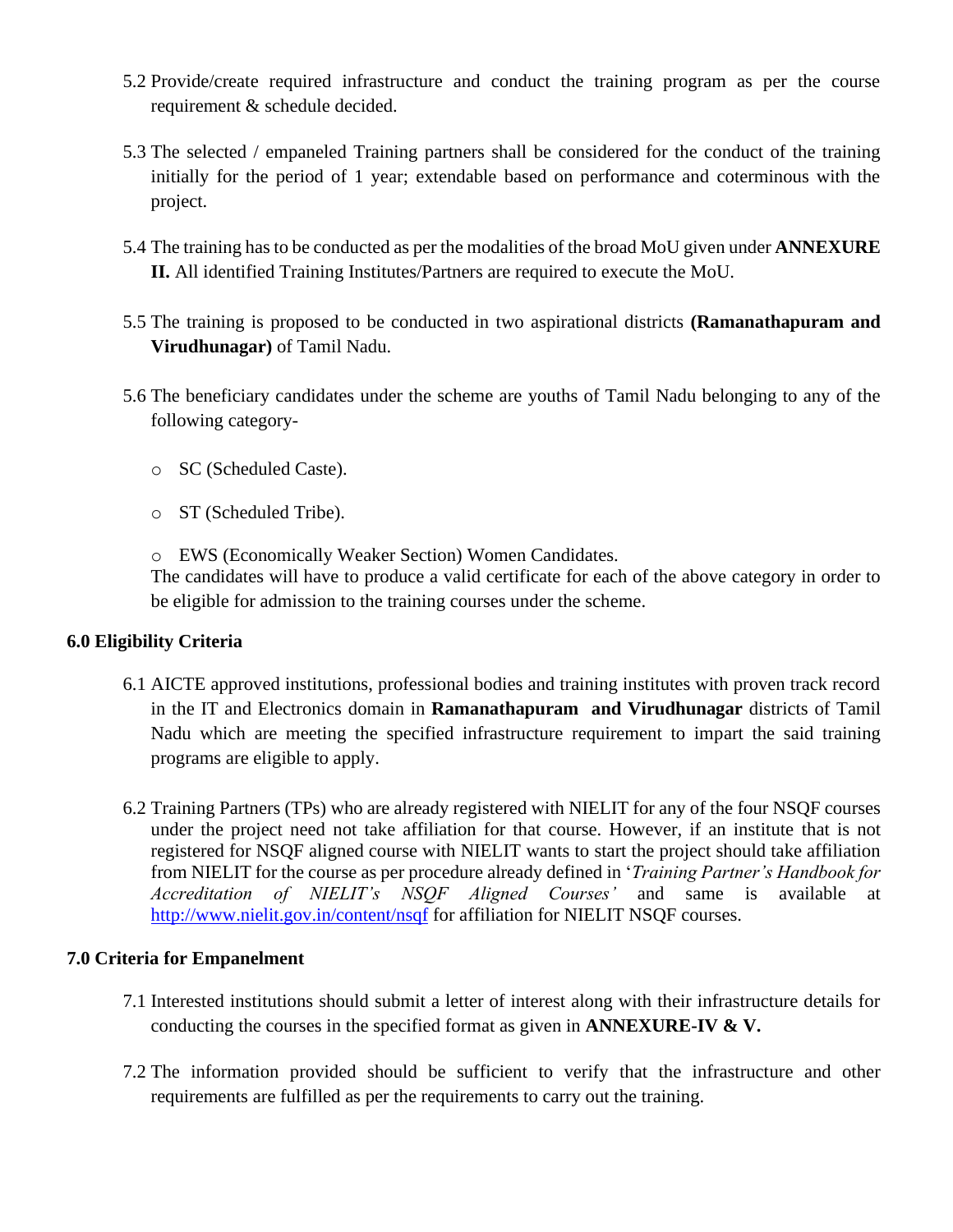- 5.2 Provide/create required infrastructure and conduct the training program as per the course requirement & schedule decided.
- 5.3 The selected / empaneled Training partners shall be considered for the conduct of the training initially for the period of 1 year; extendable based on performance and coterminous with the project.
- 5.4 The training has to be conducted as per the modalities of the broad MoU given under **ANNEXURE II.** All identified Training Institutes/Partners are required to execute the MoU.
- 5.5 The training is proposed to be conducted in two aspirational districts **(Ramanathapuram and Virudhunagar)** of Tamil Nadu.
- 5.6 The beneficiary candidates under the scheme are youths of Tamil Nadu belonging to any of the following category
	- o SC (Scheduled Caste).
	- o ST (Scheduled Tribe).
	- o EWS (Economically Weaker Section) Women Candidates.

The candidates will have to produce a valid certificate for each of the above category in order to be eligible for admission to the training courses under the scheme.

#### **6.0 Eligibility Criteria**

- 6.1 AICTE approved institutions, professional bodies and training institutes with proven track record in the IT and Electronics domain in **Ramanathapuram and Virudhunagar** districts of Tamil Nadu which are meeting the specified infrastructure requirement to impart the said training programs are eligible to apply.
- 6.2 Training Partners (TPs) who are already registered with NIELIT for any of the four NSQF courses under the project need not take affiliation for that course. However, if an institute that is not registered for NSQF aligned course with NIELIT wants to start the project should take affiliation from NIELIT for the course as per procedure already defined in '*Training Partner's Handbook for Accreditation of NIELIT's NSQF Aligned Courses'* and same is available at <http://www.nielit.gov.in/content/nsqf> for affiliation for NIELIT NSQF courses.

#### **7.0 Criteria for Empanelment**

- 7.1 Interested institutions should submit a letter of interest along with their infrastructure details for conducting the courses in the specified format as given in **ANNEXURE-IV & V.**
- 7.2 The information provided should be sufficient to verify that the infrastructure and other requirements are fulfilled as per the requirements to carry out the training.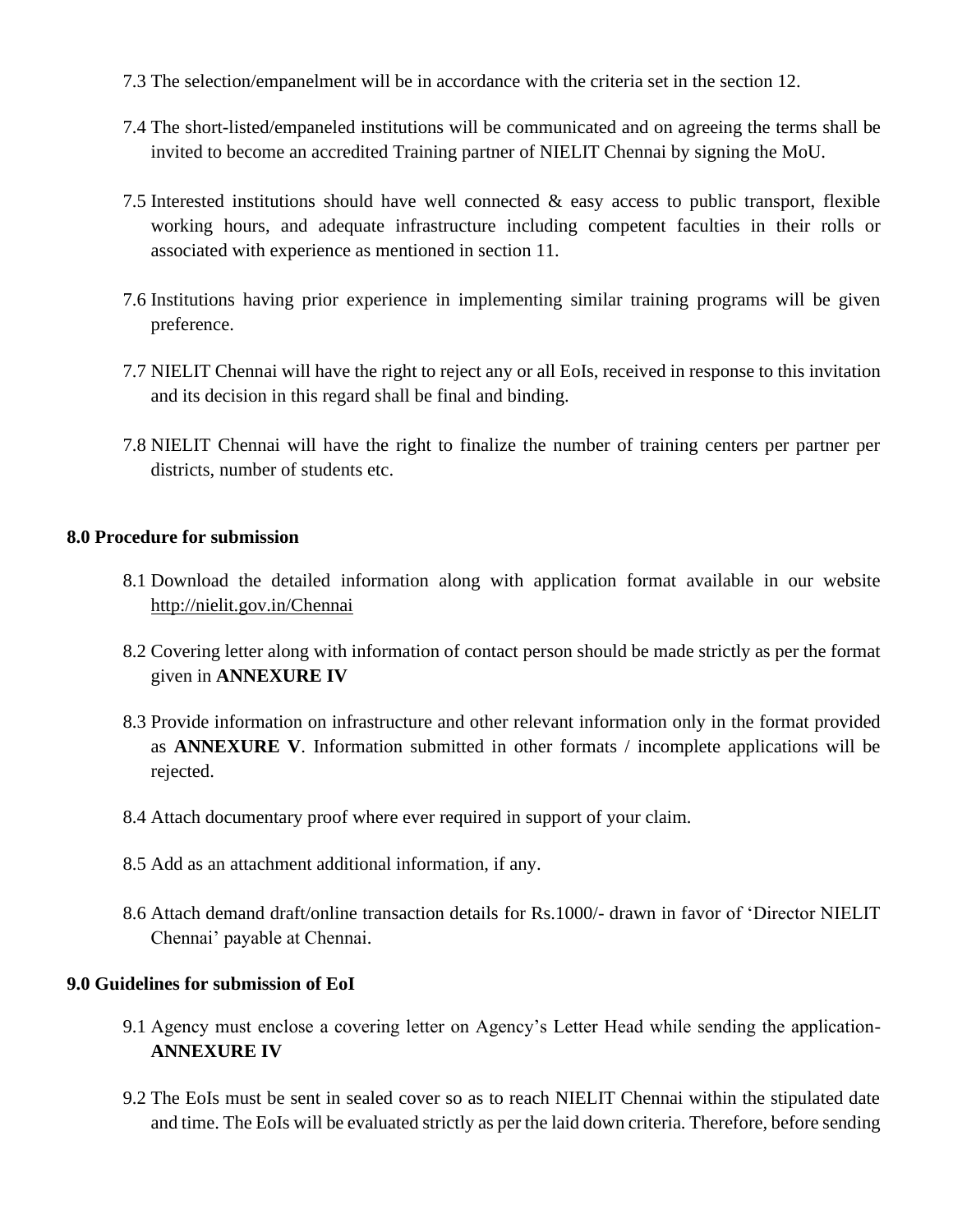- 7.3 The selection/empanelment will be in accordance with the criteria set in the section 12.
- 7.4 The short-listed/empaneled institutions will be communicated and on agreeing the terms shall be invited to become an accredited Training partner of NIELIT Chennai by signing the MoU.
- 7.5 Interested institutions should have well connected  $\&$  easy access to public transport, flexible working hours, and adequate infrastructure including competent faculties in their rolls or associated with experience as mentioned in section 11.
- 7.6 Institutions having prior experience in implementing similar training programs will be given preference.
- 7.7 NIELIT Chennai will have the right to reject any or all EoIs, received in response to this invitation and its decision in this regard shall be final and binding.
- 7.8 NIELIT Chennai will have the right to finalize the number of training centers per partner per districts, number of students etc.

#### **8.0 Procedure for submission**

- 8.1 Download the detailed information along with application format available in our website [http://nielit.gov.in/Chennai](http://nielit.gov.in/calicut)
- 8.2 Covering letter along with information of contact person should be made strictly as per the format given in **ANNEXURE IV**
- 8.3 Provide information on infrastructure and other relevant information only in the format provided as **ANNEXURE V**. Information submitted in other formats / incomplete applications will be rejected.
- 8.4 Attach documentary proof where ever required in support of your claim.
- 8.5 Add as an attachment additional information, if any.
- 8.6 Attach demand draft/online transaction details for Rs.1000/- drawn in favor of 'Director NIELIT Chennai' payable at Chennai.

#### **9.0 Guidelines for submission of EoI**

- 9.1 Agency must enclose a covering letter on Agency's Letter Head while sending the application-**ANNEXURE IV**
- 9.2 The EoIs must be sent in sealed cover so as to reach NIELIT Chennai within the stipulated date and time. The EoIs will be evaluated strictly as per the laid down criteria. Therefore, before sending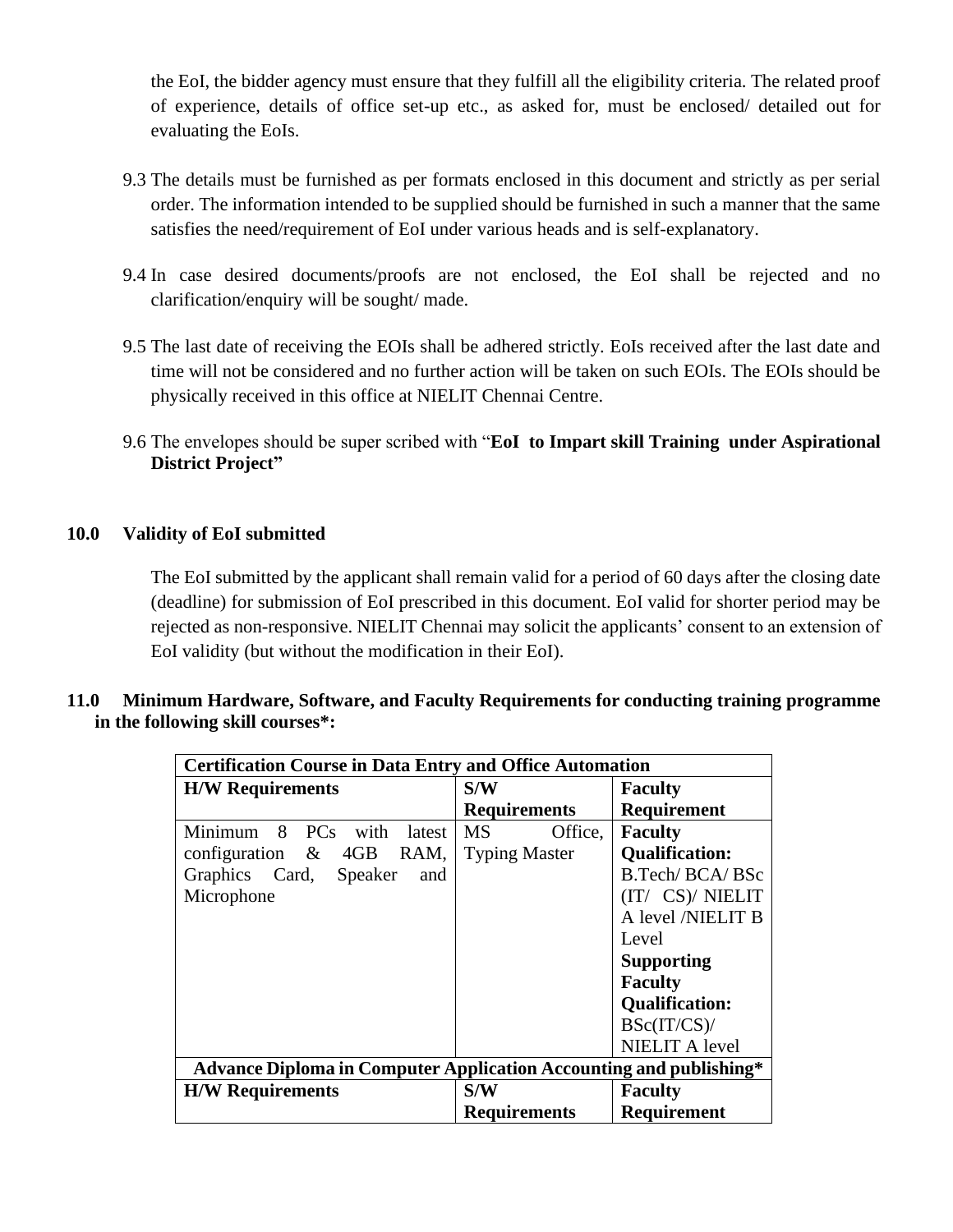the EoI, the bidder agency must ensure that they fulfill all the eligibility criteria. The related proof of experience, details of office set-up etc., as asked for, must be enclosed/ detailed out for evaluating the EoIs.

- 9.3 The details must be furnished as per formats enclosed in this document and strictly as per serial order. The information intended to be supplied should be furnished in such a manner that the same satisfies the need/requirement of EoI under various heads and is self-explanatory.
- 9.4 In case desired documents/proofs are not enclosed, the EoI shall be rejected and no clarification/enquiry will be sought/ made.
- 9.5 The last date of receiving the EOIs shall be adhered strictly. EoIs received after the last date and time will not be considered and no further action will be taken on such EOIs. The EOIs should be physically received in this office at NIELIT Chennai Centre.
- 9.6 The envelopes should be super scribed with "**EoI to Impart skill Training under Aspirational District Project"**

#### **10.0 Validity of EoI submitted**

The EoI submitted by the applicant shall remain valid for a period of 60 days after the closing date (deadline) for submission of EoI prescribed in this document. EoI valid for shorter period may be rejected as non-responsive. NIELIT Chennai may solicit the applicants' consent to an extension of EoI validity (but without the modification in their EoI).

#### **11.0 Minimum Hardware, Software, and Faculty Requirements for conducting training programme in the following skill courses\*:**

|                                                                    | <b>Certification Course in Data Entry and Office Automation</b> |                       |  |
|--------------------------------------------------------------------|-----------------------------------------------------------------|-----------------------|--|
| <b>H/W Requirements</b>                                            | S/W                                                             | <b>Faculty</b>        |  |
|                                                                    | <b>Requirements</b>                                             | Requirement           |  |
| Minimum 8 PCs<br>with<br>latest                                    | MS<br>Office.                                                   | <b>Faculty</b>        |  |
| configuration $\&$ 4GB<br>RAM,                                     | <b>Typing Master</b>                                            | <b>Qualification:</b> |  |
| Graphics Card,<br>Speaker<br>and                                   |                                                                 | B.Tech/BCA/BSc        |  |
| Microphone                                                         |                                                                 | (IT/ CS)/ NIELIT      |  |
|                                                                    |                                                                 | A level /NIELIT B     |  |
|                                                                    |                                                                 | Level                 |  |
|                                                                    |                                                                 | <b>Supporting</b>     |  |
|                                                                    |                                                                 | <b>Faculty</b>        |  |
|                                                                    |                                                                 | <b>Qualification:</b> |  |
|                                                                    |                                                                 | BSc(IT/CS)/           |  |
|                                                                    |                                                                 | <b>NIELIT A level</b> |  |
| Advance Diploma in Computer Application Accounting and publishing* |                                                                 |                       |  |
| <b>H/W Requirements</b>                                            | S/W                                                             | <b>Faculty</b>        |  |
|                                                                    | <b>Requirements</b>                                             | <b>Requirement</b>    |  |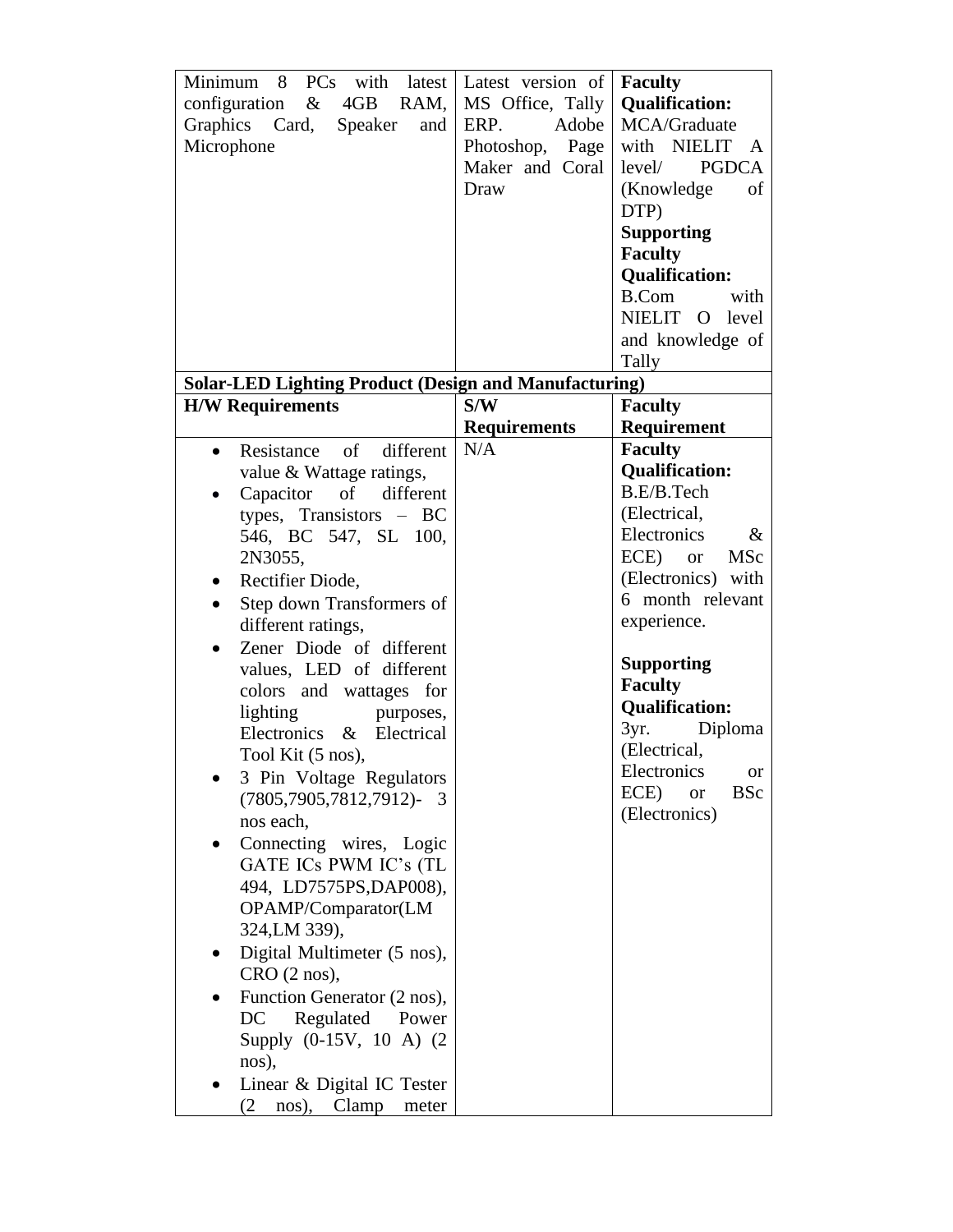| Minimum<br>8<br>PCs with latest<br>4GB<br>$\&$<br>RAM,<br>configuration<br>Graphics Card,<br>Speaker<br>and<br>Microphone                                                                                                                                                                                                                                                                                                                                                                                                                                                                                                                                                                                                                                                              | Latest version of<br>MS Office, Tally<br>Adobe<br>ERP.<br>Photoshop,<br>Page<br>Maker and Coral<br>Draw | <b>Faculty</b><br><b>Qualification:</b><br>MCA/Graduate<br>with NIELIT<br>A<br><b>PGDCA</b><br>level/<br>(Knowledge)<br>of<br>DTP)<br><b>Supporting</b><br><b>Faculty</b><br><b>Qualification:</b>                                                                                                                                                            |
|----------------------------------------------------------------------------------------------------------------------------------------------------------------------------------------------------------------------------------------------------------------------------------------------------------------------------------------------------------------------------------------------------------------------------------------------------------------------------------------------------------------------------------------------------------------------------------------------------------------------------------------------------------------------------------------------------------------------------------------------------------------------------------------|---------------------------------------------------------------------------------------------------------|---------------------------------------------------------------------------------------------------------------------------------------------------------------------------------------------------------------------------------------------------------------------------------------------------------------------------------------------------------------|
|                                                                                                                                                                                                                                                                                                                                                                                                                                                                                                                                                                                                                                                                                                                                                                                        |                                                                                                         | <b>B.Com</b><br>with<br>NIELIT O level<br>and knowledge of<br>Tally                                                                                                                                                                                                                                                                                           |
| <b>Solar-LED Lighting Product (Design and Manufacturing)</b>                                                                                                                                                                                                                                                                                                                                                                                                                                                                                                                                                                                                                                                                                                                           |                                                                                                         |                                                                                                                                                                                                                                                                                                                                                               |
| <b>H/W Requirements</b>                                                                                                                                                                                                                                                                                                                                                                                                                                                                                                                                                                                                                                                                                                                                                                | S/W                                                                                                     | <b>Faculty</b>                                                                                                                                                                                                                                                                                                                                                |
| different<br>Resistance<br>of<br>$\bullet$                                                                                                                                                                                                                                                                                                                                                                                                                                                                                                                                                                                                                                                                                                                                             | <b>Requirements</b><br>N/A                                                                              | Requirement<br><b>Faculty</b>                                                                                                                                                                                                                                                                                                                                 |
| value & Wattage ratings,<br>of<br>different<br>Capacitor<br>$\bullet$<br>types, Transistors $- BC$<br>546, BC 547, SL 100,<br>2N3055,<br>Rectifier Diode,<br>$\bullet$<br>Step down Transformers of<br>$\bullet$<br>different ratings,<br>Zener Diode of different<br>values, LED of different<br>colors and wattages for<br>lighting<br>purposes,<br>Electronics & Electrical<br>Tool Kit (5 nos),<br>3 Pin Voltage Regulators<br>$(7805, 7905, 7812, 7912)$ -<br>- 3<br>nos each,<br>Connecting wires, Logic<br>GATE ICs PWM IC's (TL<br>494, LD7575PS, DAP008),<br>OPAMP/Comparator(LM<br>324, LM 339),<br>Digital Multimeter (5 nos),<br>$CRO$ (2 nos),<br>Function Generator (2 nos),<br>Regulated Power<br>DC<br>Supply (0-15V, 10 A) (2)<br>nos),<br>Linear & Digital IC Tester |                                                                                                         | <b>Qualification:</b><br>B.E/B.Tech<br>(Electrical,<br>Electronics<br>$\&$<br>ECE)<br><b>MSc</b><br><sub>or</sub><br>(Electronics) with<br>6 month relevant<br>experience.<br><b>Supporting</b><br><b>Faculty</b><br><b>Qualification:</b><br>3yr.<br>Diploma<br>(Electrical,<br>Electronics<br><b>or</b><br><b>BSc</b><br>ECE)<br><b>or</b><br>(Electronics) |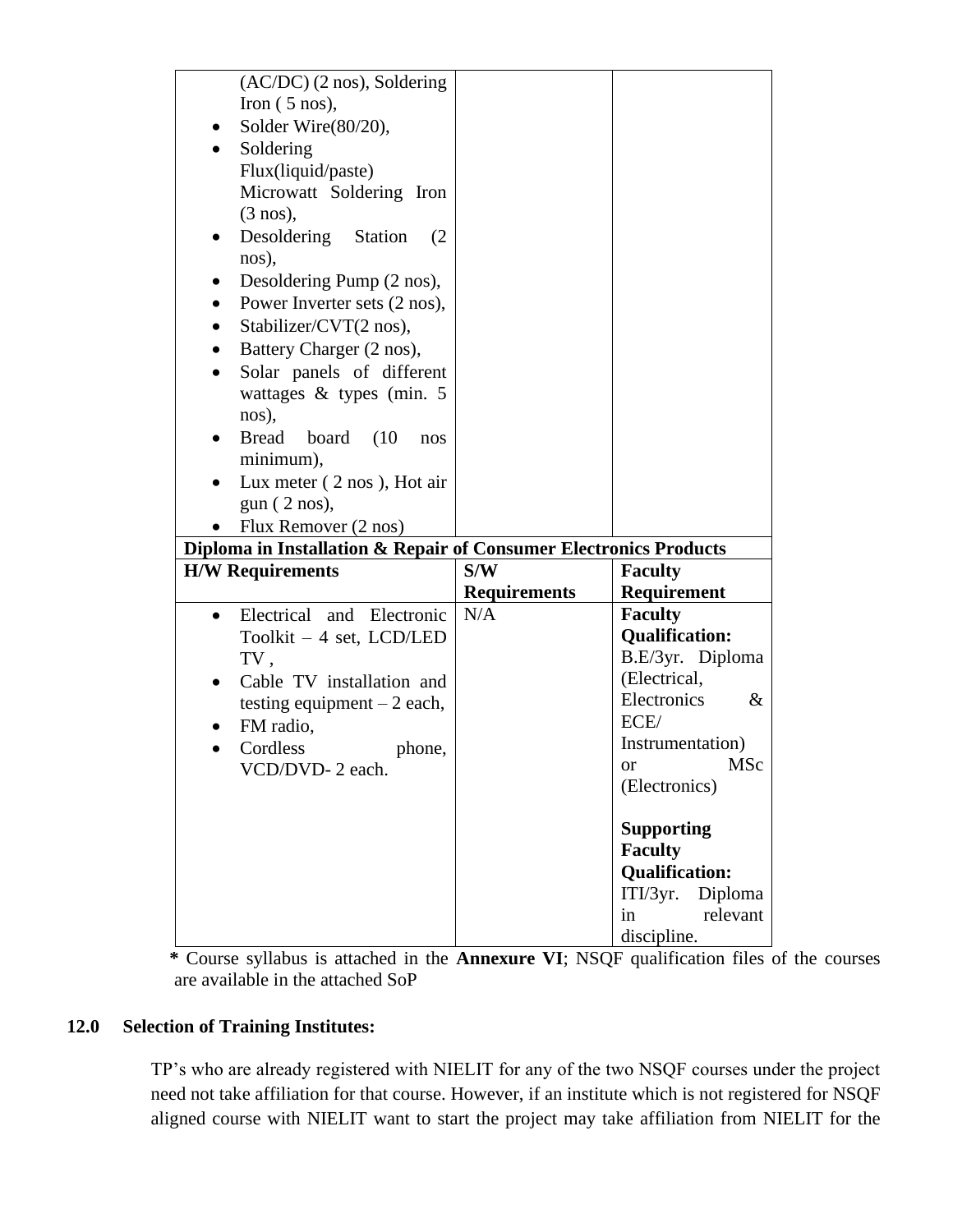| $(AC/DC)$ (2 nos), Soldering<br>Iron $(5 \text{ nos})$ ,<br>Solder Wire(80/20),<br>Soldering<br>٠<br>Flux(liquid/paste)<br>Microwatt Soldering Iron<br>$(3 \text{ nos})$ ,<br>Desoldering Station<br>(2)<br>$\bullet$<br>nos),<br>Desoldering Pump (2 nos),<br>Power Inverter sets (2 nos),<br>Stabilizer/CVT(2 nos),<br>٠<br>Battery Charger (2 nos),<br>$\bullet$<br>Solar panels of different<br>wattages & types (min. 5<br>nos),<br>Bread board<br>(10<br>nos<br>minimum),<br>Lux meter (2 nos), Hot air |                     |                               |
|---------------------------------------------------------------------------------------------------------------------------------------------------------------------------------------------------------------------------------------------------------------------------------------------------------------------------------------------------------------------------------------------------------------------------------------------------------------------------------------------------------------|---------------------|-------------------------------|
| gun (2 nos),                                                                                                                                                                                                                                                                                                                                                                                                                                                                                                  |                     |                               |
|                                                                                                                                                                                                                                                                                                                                                                                                                                                                                                               |                     |                               |
| Flux Remover (2 nos)                                                                                                                                                                                                                                                                                                                                                                                                                                                                                          |                     |                               |
| Diploma in Installation & Repair of Consumer Electronics Products                                                                                                                                                                                                                                                                                                                                                                                                                                             |                     |                               |
| <b>H/W Requirements</b>                                                                                                                                                                                                                                                                                                                                                                                                                                                                                       | S/W                 | <b>Faculty</b>                |
|                                                                                                                                                                                                                                                                                                                                                                                                                                                                                                               | <b>Requirements</b> | Requirement                   |
| Electrical and Electronic<br>$\bullet$                                                                                                                                                                                                                                                                                                                                                                                                                                                                        | N/A                 | <b>Faculty</b>                |
| Toolkit $-4$ set, LCD/LED                                                                                                                                                                                                                                                                                                                                                                                                                                                                                     |                     | <b>Qualification:</b>         |
|                                                                                                                                                                                                                                                                                                                                                                                                                                                                                                               |                     | B.E/3yr. Diploma              |
| TV,                                                                                                                                                                                                                                                                                                                                                                                                                                                                                                           |                     | (Electrical,                  |
| Cable TV installation and                                                                                                                                                                                                                                                                                                                                                                                                                                                                                     |                     | Electronics                   |
| testing equipment $-2$ each,                                                                                                                                                                                                                                                                                                                                                                                                                                                                                  |                     | $\&$<br>ECE/                  |
| FM radio,<br>Cordless<br>phone,                                                                                                                                                                                                                                                                                                                                                                                                                                                                               |                     | Instrumentation)              |
| VCD/DVD-2 each.                                                                                                                                                                                                                                                                                                                                                                                                                                                                                               |                     | MSc<br>or                     |
|                                                                                                                                                                                                                                                                                                                                                                                                                                                                                                               |                     | (Electronics)                 |
|                                                                                                                                                                                                                                                                                                                                                                                                                                                                                                               |                     |                               |
|                                                                                                                                                                                                                                                                                                                                                                                                                                                                                                               |                     | <b>Supporting</b>             |
|                                                                                                                                                                                                                                                                                                                                                                                                                                                                                                               |                     | <b>Faculty</b>                |
|                                                                                                                                                                                                                                                                                                                                                                                                                                                                                                               |                     | <b>Qualification:</b>         |
|                                                                                                                                                                                                                                                                                                                                                                                                                                                                                                               |                     | ITI/3yr.<br>Diploma           |
|                                                                                                                                                                                                                                                                                                                                                                                                                                                                                                               |                     |                               |
|                                                                                                                                                                                                                                                                                                                                                                                                                                                                                                               |                     |                               |
|                                                                                                                                                                                                                                                                                                                                                                                                                                                                                                               |                     | in<br>relevant<br>discipline. |

 **\*** Course syllabus is attached in the **Annexure VI**; NSQF qualification files of the courses are available in the attached SoP

#### **12.0 Selection of Training Institutes:**

TP's who are already registered with NIELIT for any of the two NSQF courses under the project need not take affiliation for that course. However, if an institute which is not registered for NSQF aligned course with NIELIT want to start the project may take affiliation from NIELIT for the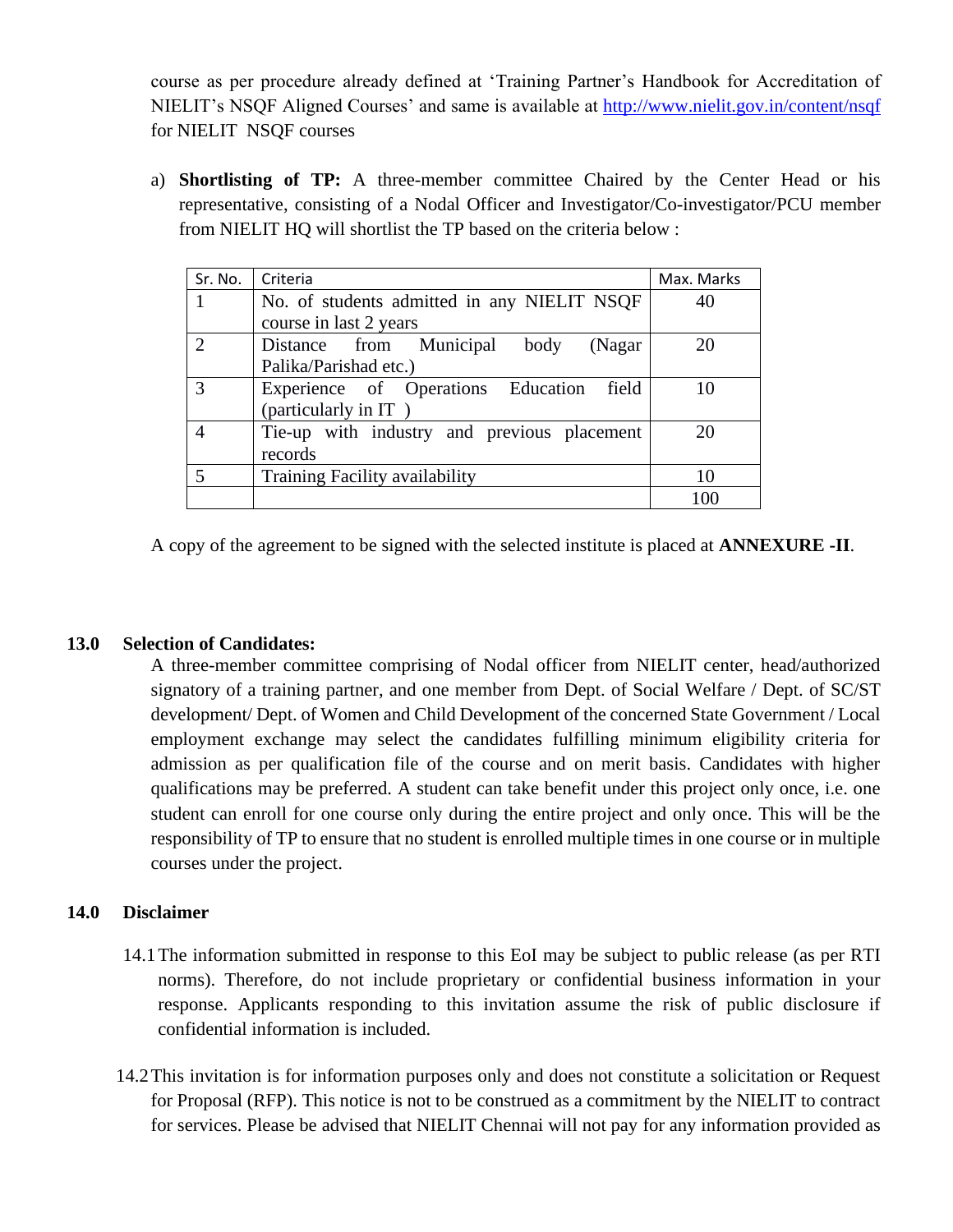course as per procedure already defined at 'Training Partner's Handbook for Accreditation of NIELIT's NSQF Aligned Courses' and same is available at<http://www.nielit.gov.in/content/nsqf> for NIELIT NSQF courses

a) **Shortlisting of TP:** A three-member committee Chaired by the Center Head or his representative, consisting of a Nodal Officer and Investigator/Co-investigator/PCU member from NIELIT HQ will shortlist the TP based on the criteria below :

| Sr. No.       | Criteria                                      | Max. Marks |
|---------------|-----------------------------------------------|------------|
|               | No. of students admitted in any NIELIT NSQF   | 40         |
|               | course in last 2 years                        |            |
| $\mathcal{D}$ | Municipal<br>Distance from<br>body<br>(Nagar) | 20         |
|               | Palika/Parishad etc.)                         |            |
| $\mathcal{R}$ | Experience of Operations Education<br>field   | 10         |
|               | (particularly in IT)                          |            |
|               | Tie-up with industry and previous placement   |            |
|               | records                                       |            |
|               | Training Facility availability                |            |
|               |                                               | 100        |

A copy of the agreement to be signed with the selected institute is placed at **ANNEXURE -II**.

#### **13.0 Selection of Candidates:**

A three-member committee comprising of Nodal officer from NIELIT center, head/authorized signatory of a training partner, and one member from Dept. of Social Welfare / Dept. of SC/ST development/ Dept. of Women and Child Development of the concerned State Government / Local employment exchange may select the candidates fulfilling minimum eligibility criteria for admission as per qualification file of the course and on merit basis. Candidates with higher qualifications may be preferred. A student can take benefit under this project only once, i.e. one student can enroll for one course only during the entire project and only once. This will be the responsibility of TP to ensure that no student is enrolled multiple times in one course or in multiple courses under the project.

#### **14.0 Disclaimer**

- 14.1The information submitted in response to this EoI may be subject to public release (as per RTI norms). Therefore, do not include proprietary or confidential business information in your response. Applicants responding to this invitation assume the risk of public disclosure if confidential information is included.
- 14.2This invitation is for information purposes only and does not constitute a solicitation or Request for Proposal (RFP). This notice is not to be construed as a commitment by the NIELIT to contract for services. Please be advised that NIELIT Chennai will not pay for any information provided as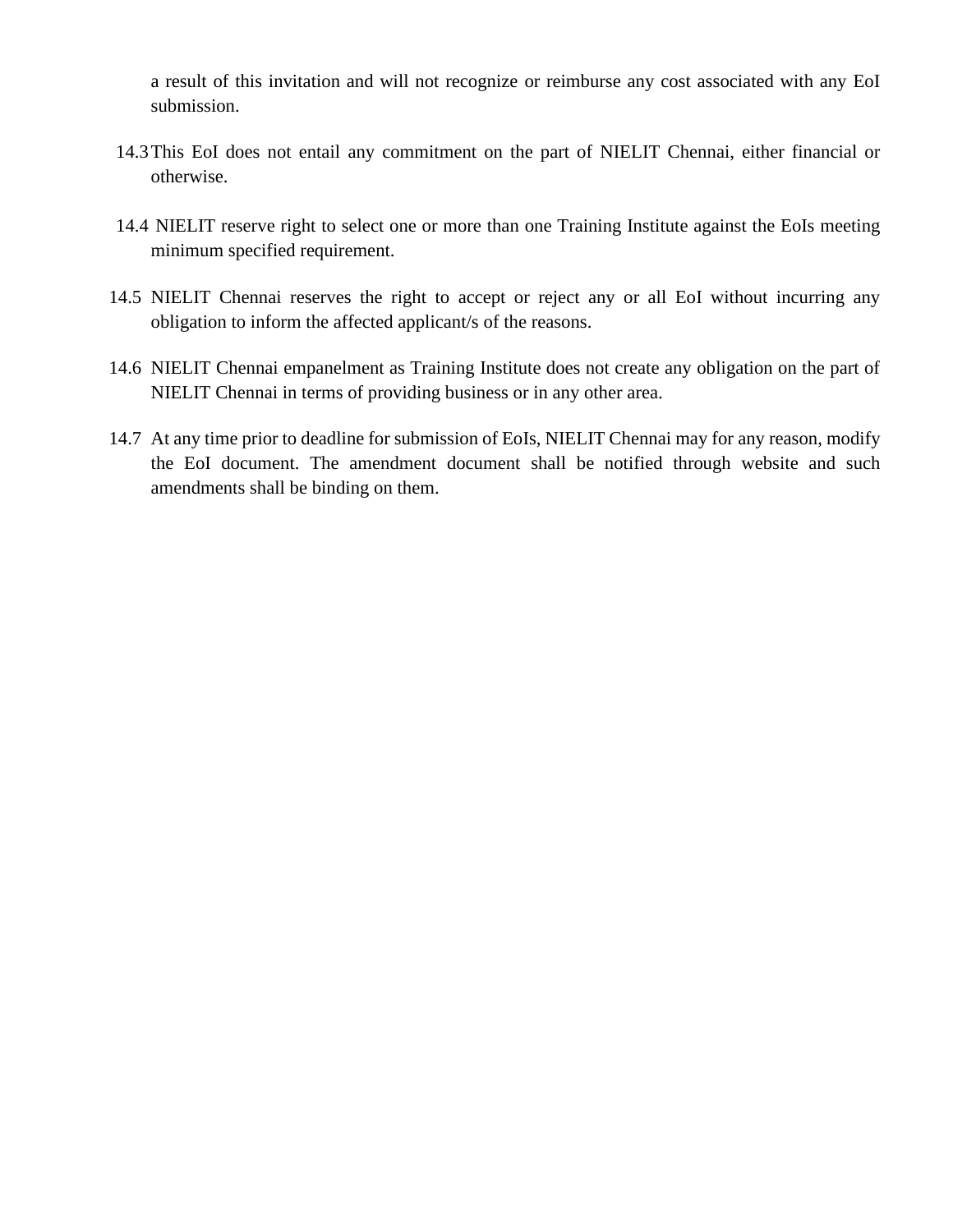a result of this invitation and will not recognize or reimburse any cost associated with any EoI submission.

- 14.3This EoI does not entail any commitment on the part of NIELIT Chennai, either financial or otherwise.
- 14.4 NIELIT reserve right to select one or more than one Training Institute against the EoIs meeting minimum specified requirement.
- 14.5 NIELIT Chennai reserves the right to accept or reject any or all EoI without incurring any obligation to inform the affected applicant/s of the reasons.
- 14.6 NIELIT Chennai empanelment as Training Institute does not create any obligation on the part of NIELIT Chennai in terms of providing business or in any other area.
- 14.7 At any time prior to deadline for submission of EoIs, NIELIT Chennai may for any reason, modify the EoI document. The amendment document shall be notified through website and such amendments shall be binding on them.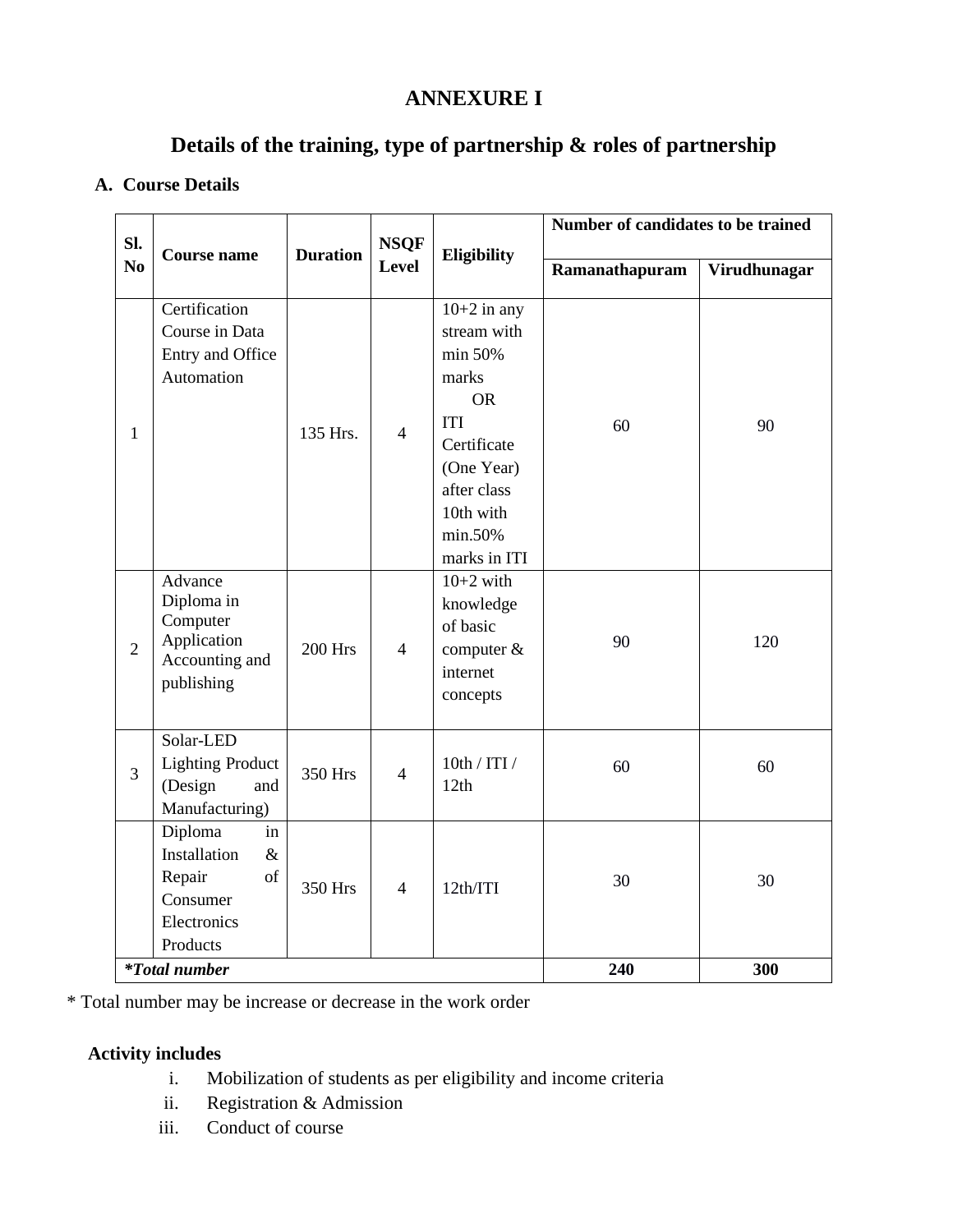## **ANNEXURE I**

## **Details of the training, type of partnership & roles of partnership**

#### **A. Course Details**

|                       |                                                                                              |                 |                             |                                                                                                                                                                 | Number of candidates to be trained |              |
|-----------------------|----------------------------------------------------------------------------------------------|-----------------|-----------------------------|-----------------------------------------------------------------------------------------------------------------------------------------------------------------|------------------------------------|--------------|
| SI.<br>N <sub>0</sub> | <b>Course name</b>                                                                           | <b>Duration</b> | <b>NSQF</b><br><b>Level</b> | Eligibility                                                                                                                                                     | Ramanathapuram                     | Virudhunagar |
| $\mathbf{1}$          | Certification<br>Course in Data<br>Entry and Office<br>Automation                            | 135 Hrs.        | $\overline{4}$              | $10+2$ in any<br>stream with<br>min 50%<br>marks<br><b>OR</b><br><b>ITI</b><br>Certificate<br>(One Year)<br>after class<br>10th with<br>min.50%<br>marks in ITI | 60                                 | 90           |
| $\overline{2}$        | Advance<br>Diploma in<br>Computer<br>Application<br>Accounting and<br>publishing             | <b>200 Hrs</b>  | $\overline{4}$              | $10+2$ with<br>knowledge<br>of basic<br>computer $&$<br>internet<br>concepts                                                                                    | 90                                 | 120          |
| 3                     | Solar-LED<br><b>Lighting Product</b><br>(Design<br>and<br>Manufacturing)                     | 350 Hrs         | $\overline{4}$              | 10th / ITI /<br>12th                                                                                                                                            | 60                                 | 60           |
|                       | Diploma<br>in<br>Installation<br>$\&$<br>of<br>Repair<br>Consumer<br>Electronics<br>Products | 350 Hrs         | $\overline{4}$              | 12th/ITI                                                                                                                                                        | 30                                 | 30           |
|                       | <i>*Total number</i>                                                                         |                 |                             |                                                                                                                                                                 | 240                                | 300          |

\* Total number may be increase or decrease in the work order

### **Activity includes**

- i. Mobilization of students as per eligibility and income criteria
- ii. Registration & Admission
- iii. Conduct of course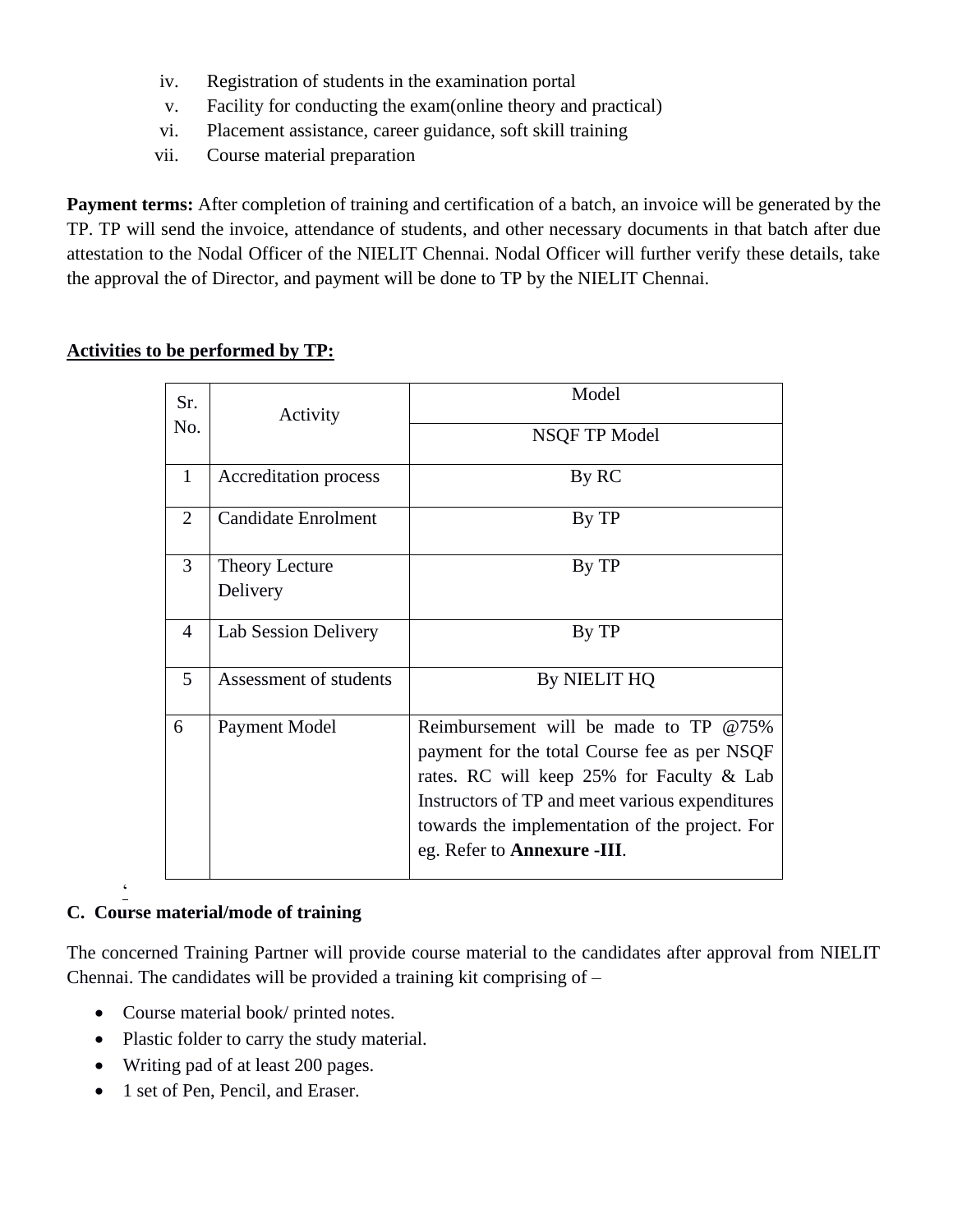- iv. Registration of students in the examination portal
- v. Facility for conducting the exam(online theory and practical)
- vi. Placement assistance, career guidance, soft skill training
- vii. Course material preparation

**Payment terms:** After completion of training and certification of a batch, an invoice will be generated by the TP. TP will send the invoice, attendance of students, and other necessary documents in that batch after due attestation to the Nodal Officer of the NIELIT Chennai. Nodal Officer will further verify these details, take the approval the of Director, and payment will be done to TP by the NIELIT Chennai.

### **Activities to be performed by TP:**

| Sr.            | Activity                          | Model                                                                                                                                                                                                                                                                                |
|----------------|-----------------------------------|--------------------------------------------------------------------------------------------------------------------------------------------------------------------------------------------------------------------------------------------------------------------------------------|
| No.            |                                   | NSQF TP Model                                                                                                                                                                                                                                                                        |
| 1              | Accreditation process             | By RC                                                                                                                                                                                                                                                                                |
| $\overline{2}$ | <b>Candidate Enrolment</b>        | By TP                                                                                                                                                                                                                                                                                |
| 3              | <b>Theory Lecture</b><br>Delivery | By TP                                                                                                                                                                                                                                                                                |
| 4              | Lab Session Delivery              | By TP                                                                                                                                                                                                                                                                                |
| 5              | Assessment of students            | By NIELIT HQ                                                                                                                                                                                                                                                                         |
| 6              | Payment Model                     | Reimbursement will be made to $TP \tQ 75\%$<br>payment for the total Course fee as per NSQF<br>rates. RC will keep 25% for Faculty & Lab<br>Instructors of TP and meet various expenditures<br>towards the implementation of the project. For<br>eg. Refer to <b>Annexure -III</b> . |

#### $\ddot{\phantom{0}}$ **C. Course material/mode of training**

The concerned Training Partner will provide course material to the candidates after approval from NIELIT Chennai. The candidates will be provided a training kit comprising of –

- Course material book/ printed notes.
- Plastic folder to carry the study material.
- Writing pad of at least 200 pages.
- 1 set of Pen, Pencil, and Eraser.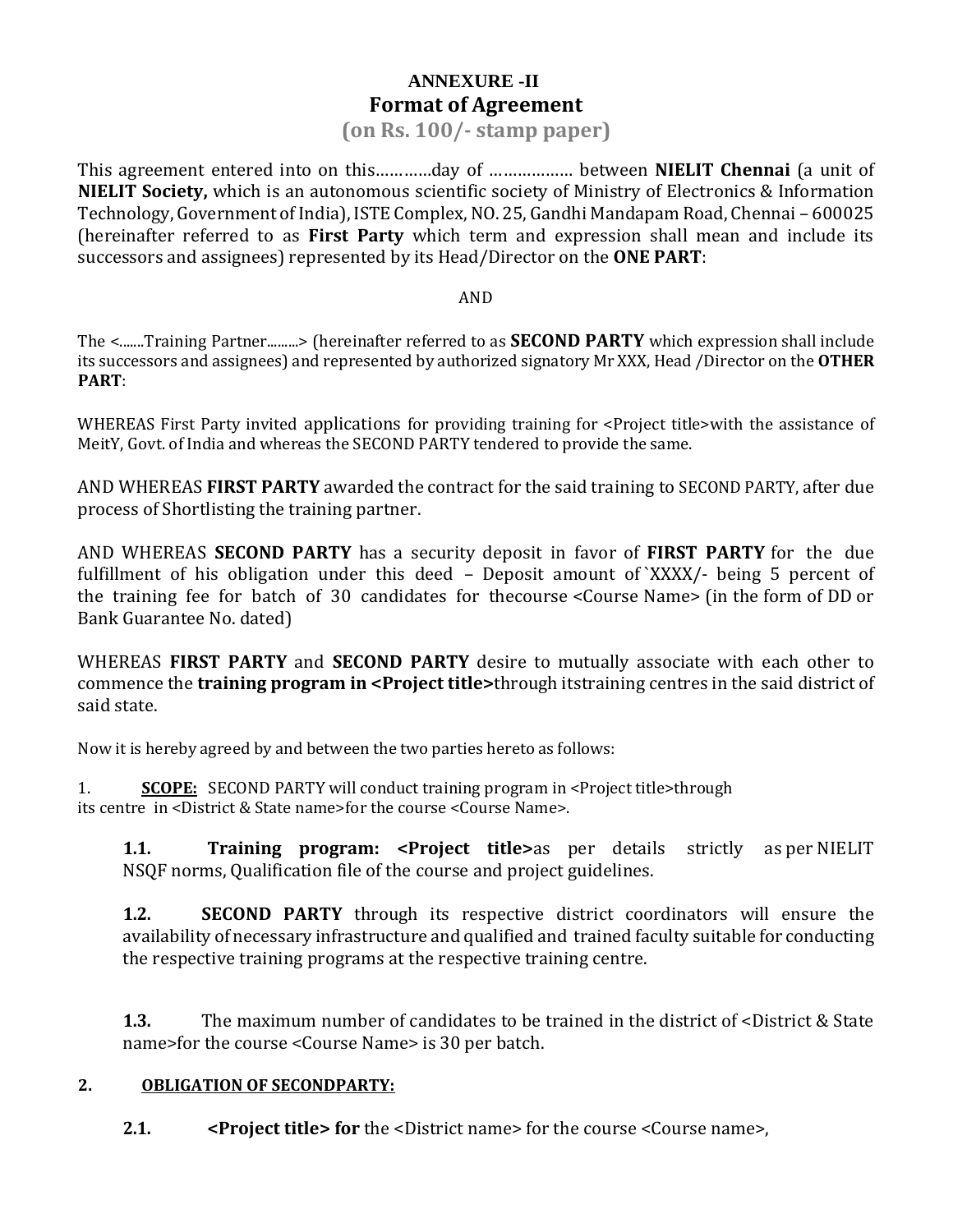## **ANNEXURE -II Format of Agreement**

#### **(on Rs. 100/- stamp paper)**

This agreement entered into on this…………day of ……………… between **NIELIT Chennai** (a unit of **NIELIT Society,** which is an autonomous scientific society of Ministry of Electronics & Information Technology, Government of India), ISTE Complex, NO. 25, Gandhi Mandapam Road, Chennai – 600025 (hereinafter referred to as **First Party** which term and expression shall mean and include its successors and assignees) represented by its Head/Director on the **ONE PART**:

#### AND

The <.......Training Partner.........> (hereinafter referred to as **SECOND PARTY** which expression shall include its successors and assignees) and represented by authorized signatory Mr XXX, Head /Director on the **OTHER PART**:

WHEREAS First Party invited applications for providing training for <Project title>with the assistance of MeitY, Govt. of India and whereas the SECOND PARTY tendered to provide the same.

AND WHEREAS **FIRST PARTY** awarded the contract for the said training to SECOND PARTY, after due process of Shortlisting the training partner.

AND WHEREAS **SECOND PARTY** has a security deposit in favor of **FIRST PARTY** for the due fulfillment of his obligation under this deed – Deposit amount of `XXXX/- being 5 percent of the training fee for batch of 30 candidates for thecourse <Course Name> (in the form of DD or Bank Guarantee No. dated)

WHEREAS **FIRST PARTY** and **SECOND PARTY** desire to mutually associate with each other to commence the **training program in <Project title>**through itstraining centres in the said district of said state.

Now it is hereby agreed by and between the two parties hereto as follows:

1. **SCOPE:** SECOND PARTY will conduct training program in <Project title>through its centre in <District & State name>for the course <Course Name>.

**1.1. Training program: <Project title>**as per details strictly as per NIELIT NSQF norms, Qualification file of the course and project guidelines.

**1.2. SECOND PARTY** through its respective district coordinators will ensure the availability of necessary infrastructure and qualified and trained faculty suitable for conducting the respective training programs at the respective training centre.

**1.3.** The maximum number of candidates to be trained in the district of <District & State name>for the course <Course Name> is 30 per batch.

#### **2. OBLIGATION OF SECONDPARTY:**

**2.1. <Project title> for** the <District name> for the course <Course name>,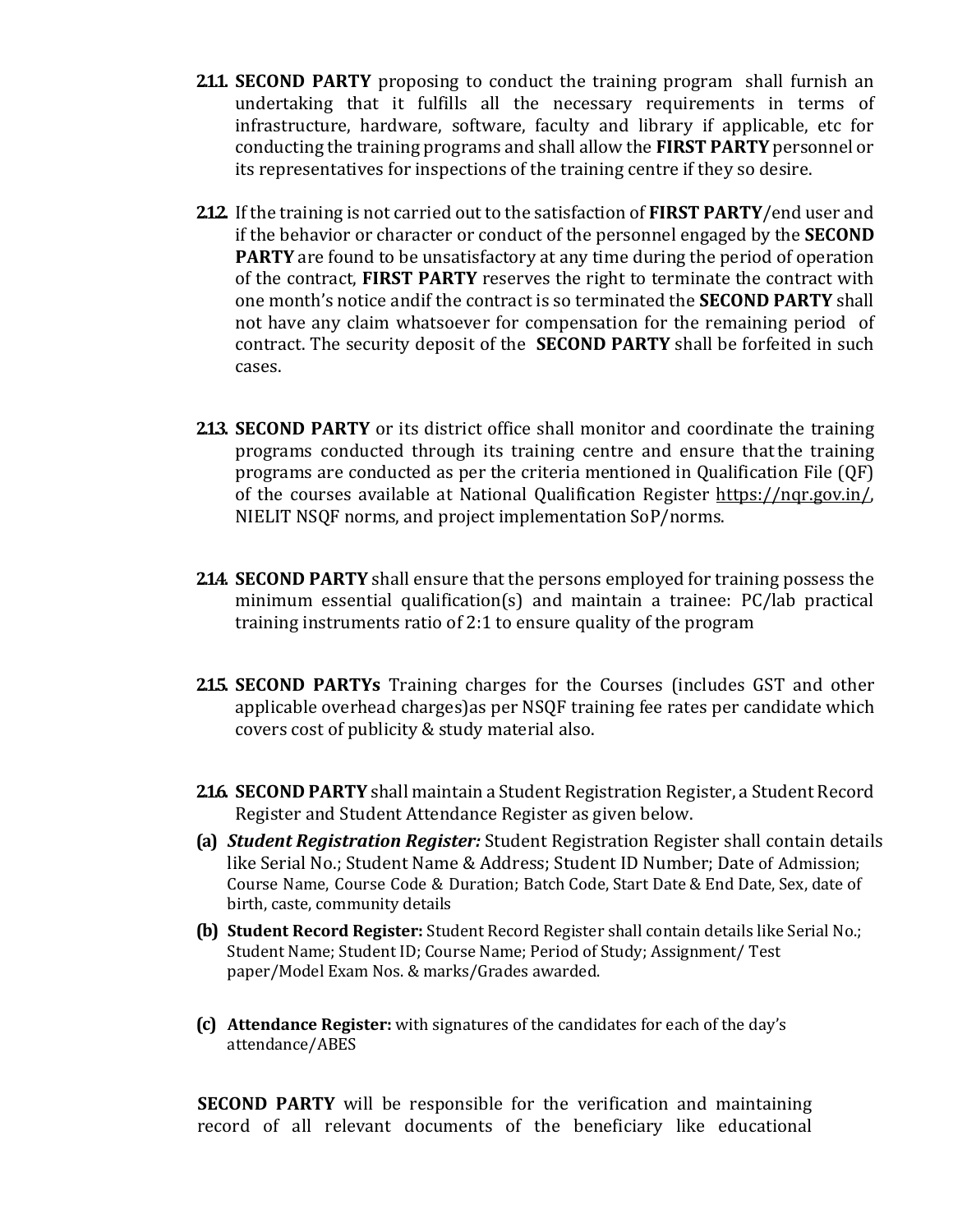- **2.1.1. SECOND PARTY** proposing to conduct the training program shall furnish an undertaking that it fulfills all the necessary requirements in terms of infrastructure, hardware, software, faculty and library if applicable, etc for conducting the training programs and shall allow the **FIRST PARTY** personnel or its representatives for inspections of the training centre if they so desire.
- **2.1.2.** If the training is not carried out to the satisfaction of **FIRST PARTY**/end user and if the behavior or character or conduct of the personnel engaged by the **SECOND PARTY** are found to be unsatisfactory at any time during the period of operation of the contract, **FIRST PARTY** reserves the right to terminate the contract with one month's notice andif the contract is so terminated the **SECOND PARTY** shall not have any claim whatsoever for compensation for the remaining period of contract. The security deposit of the **SECOND PARTY** shall be forfeited in such cases.
- **2.1.3. SECOND PARTY** or its district office shall monitor and coordinate the training programs conducted through its training centre and ensure thatthe training programs are conducted as per the criteria mentioned in Qualification File (QF) of the courses available at National Qualification Register [https://nqr.gov.in/,](https://nqr.gov.in/) NIELIT NSQF norms, and project implementation SoP/norms.
- **2.14. SECOND PARTY** shall ensure that the persons employed for training possess the minimum essential qualification(s) and maintain a trainee: PC/lab practical training instruments ratio of 2:1 to ensure quality of the program
- **2.1.5. SECOND PARTYs** Training charges for the Courses (includes GST and other applicable overhead charges)as per NSQF training fee rates per candidate which covers cost of publicity & study material also.
- **216. SECOND PARTY** shall maintain a Student Registration Register, a Student Record Register and Student Attendance Register as given below.
- **(a)** *Student Registration Register:* Student Registration Register shall contain details like Serial No.; Student Name & Address; Student ID Number; Date of Admission; Course Name, Course Code & Duration; Batch Code, Start Date & End Date, Sex, date of birth, caste, community details
- **(b) Student Record Register:** Student Record Register shall contain details like Serial No.; Student Name; Student ID; Course Name; Period of Study; Assignment/ Test paper/Model Exam Nos. & marks/Grades awarded.
- **(c) Attendance Register:** with signatures of the candidates for each of the day's attendance/ABES

**SECOND PARTY** will be responsible for the verification and maintaining record of all relevant documents of the beneficiary like educational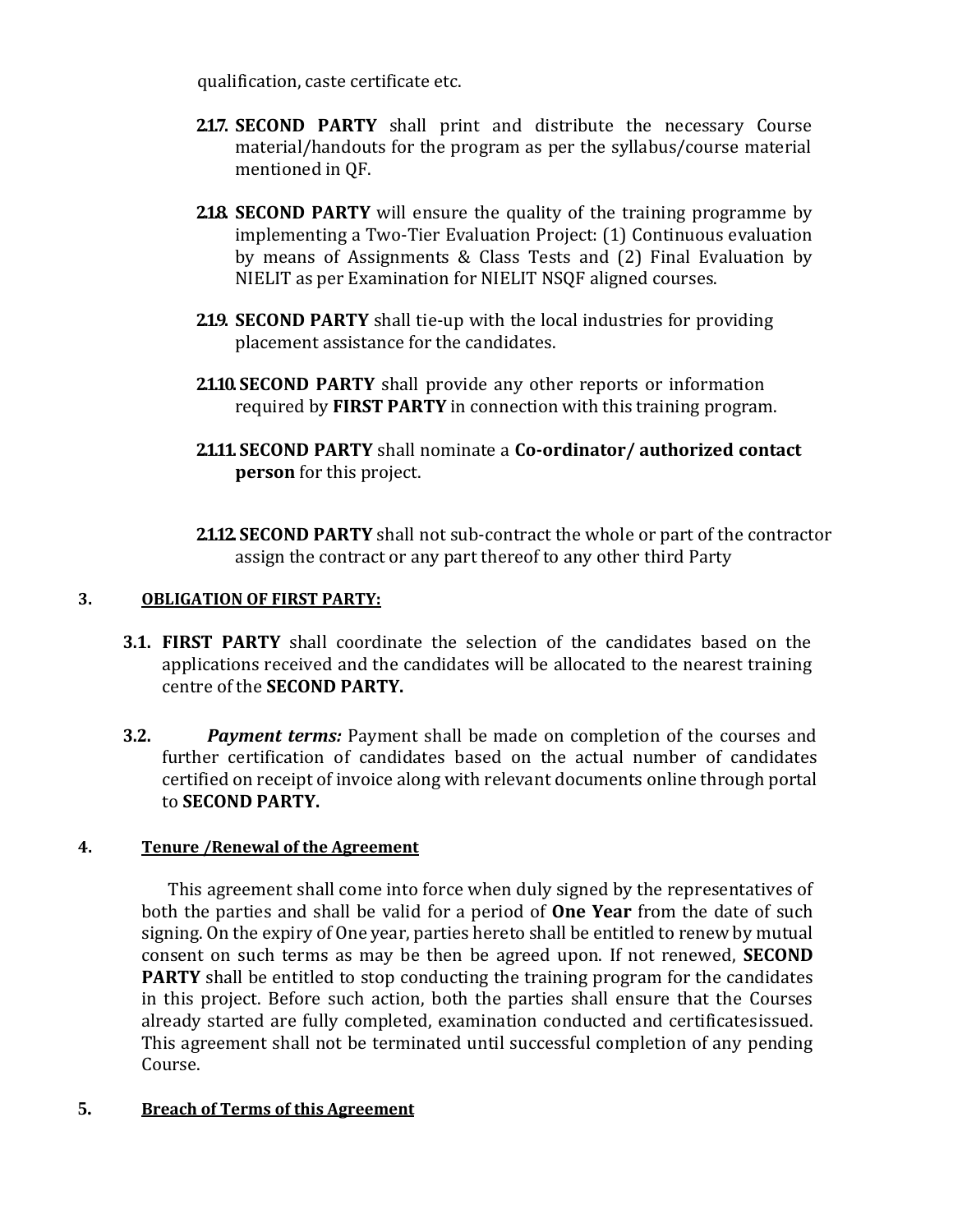qualification, caste certificate etc.

- **2.1.7. SECOND PARTY** shall print and distribute the necessary Course material/handouts for the program as per the syllabus/course material mentioned in QF.
- **218. SECOND PARTY** will ensure the quality of the training programme by implementing a Two-Tier Evaluation Project: (1) Continuous evaluation by means of Assignments & Class Tests and (2) Final Evaluation by NIELIT as per Examination for NIELIT NSQF aligned courses.
- **2.19. SECOND PARTY** shall tie-up with the local industries for providing placement assistance for the candidates.
- **2.1.10. SECOND PARTY** shall provide any other reports or information required by **FIRST PARTY** in connection with this training program.
- **2.1.11. SECOND PARTY** shall nominate a **Co-ordinator/ authorized contact person** for this project.
- **2.1.12. SECOND PARTY** shall not sub-contract the whole or part of the contractor assign the contract or any part thereof to any other third Party

#### **3. OBLIGATION OF FIRST PARTY:**

- **3.1. FIRST PARTY** shall coordinate the selection of the candidates based on the applications received and the candidates will be allocated to the nearest training centre of the **SECOND PARTY.**
- **3.2.** *Payment terms:* Payment shall be made on completion of the courses and further certification of candidates based on the actual number of candidates certified on receipt of invoice along with relevant documents online through portal to **SECOND PARTY.**

#### **4. Tenure /Renewal of the Agreement**

This agreement shall come into force when duly signed by the representatives of both the parties and shall be valid for a period of **One Year** from the date of such signing. On the expiry of One year, parties hereto shall be entitled to renew by mutual consent on such terms as may be then be agreed upon. If not renewed, **SECOND PARTY** shall be entitled to stop conducting the training program for the candidates in this project. Before such action, both the parties shall ensure that the Courses already started are fully completed, examination conducted and certificatesissued. This agreement shall not be terminated until successful completion of any pending Course.

#### **5. Breach of Terms of this Agreement**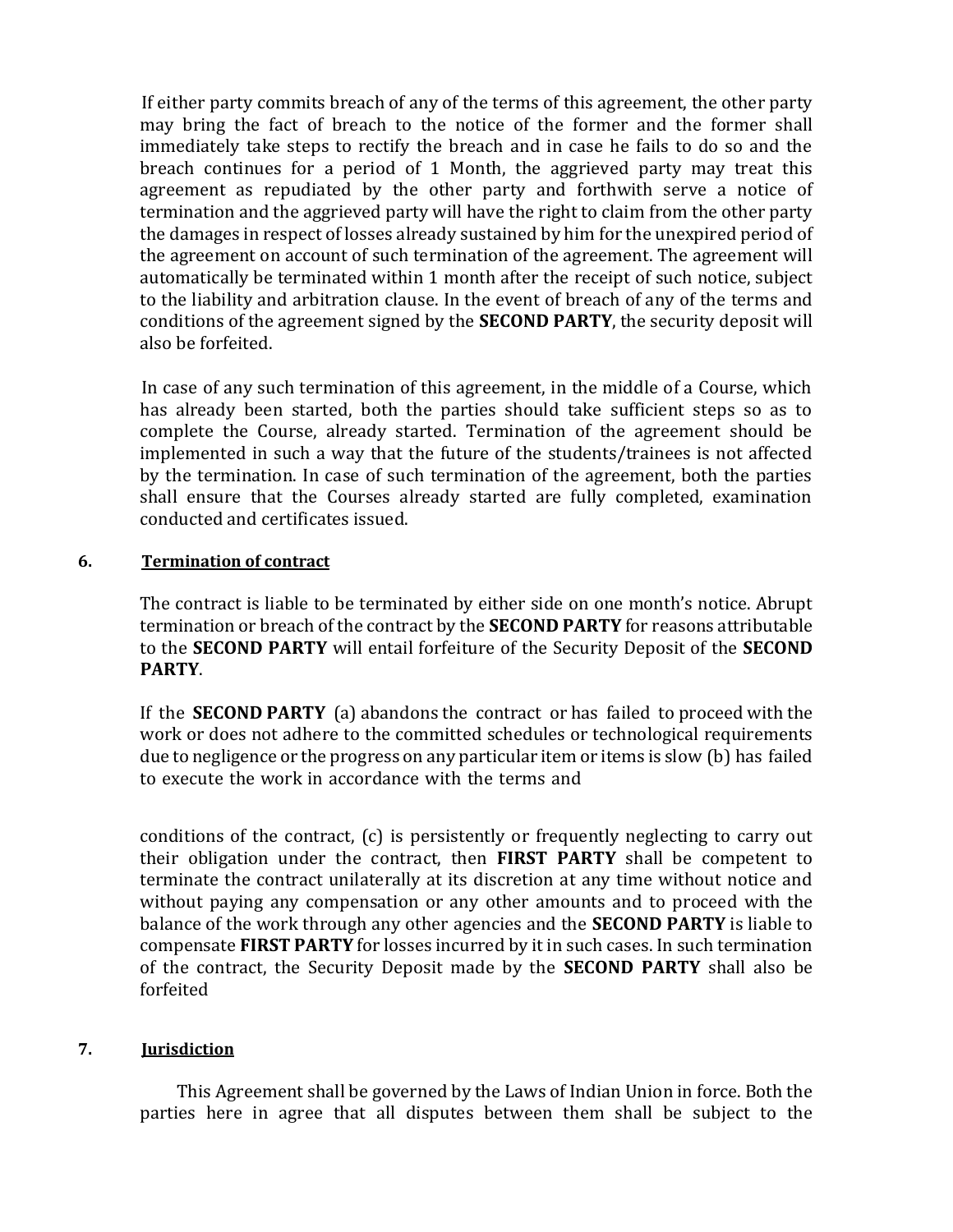If either party commits breach of any of the terms of this agreement, the other party may bring the fact of breach to the notice of the former and the former shall immediately take steps to rectify the breach and in case he fails to do so and the breach continues for a period of 1 Month, the aggrieved party may treat this agreement as repudiated by the other party and forthwith serve a notice of termination and the aggrieved party will have the right to claim from the other party the damages in respect of losses already sustained by him for the unexpired period of the agreement on account of such termination of the agreement. The agreement will automatically be terminated within 1 month after the receipt of such notice, subject to the liability and arbitration clause. In the event of breach of any of the terms and conditions of the agreement signed by the **SECOND PARTY**, the security deposit will also be forfeited.

In case of any such termination of this agreement, in the middle of a Course, which has already been started, both the parties should take sufficient steps so as to complete the Course, already started. Termination of the agreement should be implemented in such a way that the future of the students/trainees is not affected by the termination. In case of such termination of the agreement, both the parties shall ensure that the Courses already started are fully completed, examination conducted and certificates issued.

#### **6. Termination of contract**

The contract is liable to be terminated by either side on one month's notice. Abrupt termination or breach of the contract by the **SECOND PARTY** for reasons attributable to the **SECOND PARTY** will entail forfeiture of the Security Deposit of the **SECOND PARTY**.

If the **SECOND PARTY** (a) abandons the contract or has failed to proceed with the work or does not adhere to the committed schedules or technological requirements due to negligence or the progress on any particular item or items is slow (b) has failed to execute the work in accordance with the terms and

conditions of the contract, (c) is persistently or frequently neglecting to carry out their obligation under the contract, then **FIRST PARTY** shall be competent to terminate the contract unilaterally at its discretion at any time without notice and without paying any compensation or any other amounts and to proceed with the balance of the work through any other agencies and the **SECOND PARTY** is liable to compensate **FIRST PARTY** for losses incurred by it in such cases. In such termination of the contract, the Security Deposit made by the **SECOND PARTY** shall also be forfeited

#### **7. Jurisdiction**

 This Agreement shall be governed by the Laws of Indian Union in force. Both the parties here in agree that all disputes between them shall be subject to the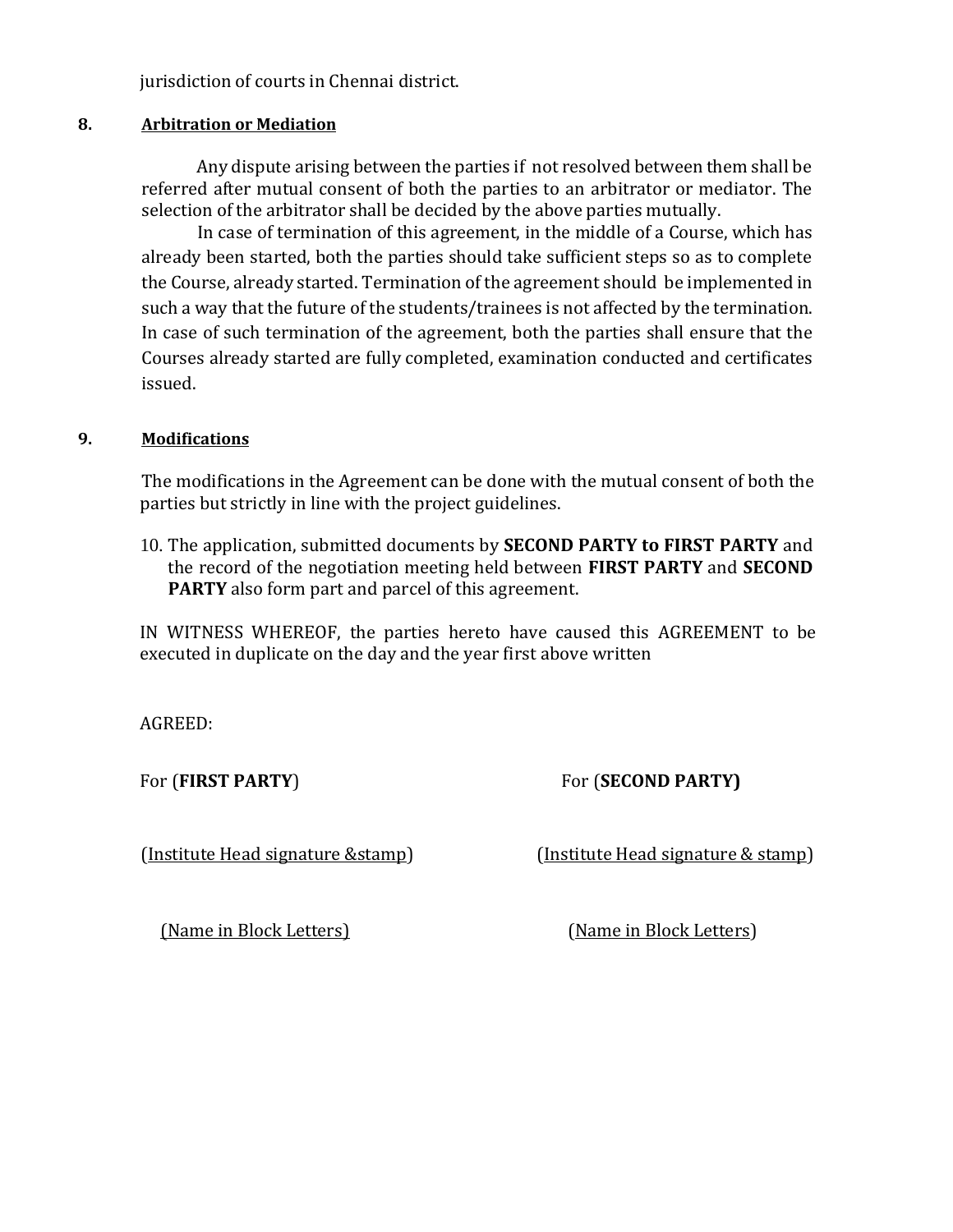jurisdiction of courts in Chennai district.

#### **8. Arbitration or Mediation**

Any dispute arising between the parties if not resolved between them shall be referred after mutual consent of both the parties to an arbitrator or mediator. The selection of the arbitrator shall be decided by the above parties mutually.

In case of termination of this agreement, in the middle of a Course, which has already been started, both the parties should take sufficient steps so as to complete the Course, already started. Termination of the agreement should be implemented in such a way that the future of the students/trainees is not affected by the termination. In case of such termination of the agreement, both the parties shall ensure that the Courses already started are fully completed, examination conducted and certificates issued.

#### **9. Modifications**

The modifications in the Agreement can be done with the mutual consent of both the parties but strictly in line with the project guidelines.

10. The application, submitted documents by **SECOND PARTY to FIRST PARTY** and the record of the negotiation meeting held between **FIRST PARTY** and **SECOND PARTY** also form part and parcel of this agreement.

IN WITNESS WHEREOF, the parties hereto have caused this AGREEMENT to be executed in duplicate on the day and the year first above written

AGREED:

For (**FIRST PARTY**) For (**SECOND PARTY)**

(Institute Head signature &stamp) (Institute Head signature & stamp)

(Name in Block Letters) (Name in Block Letters)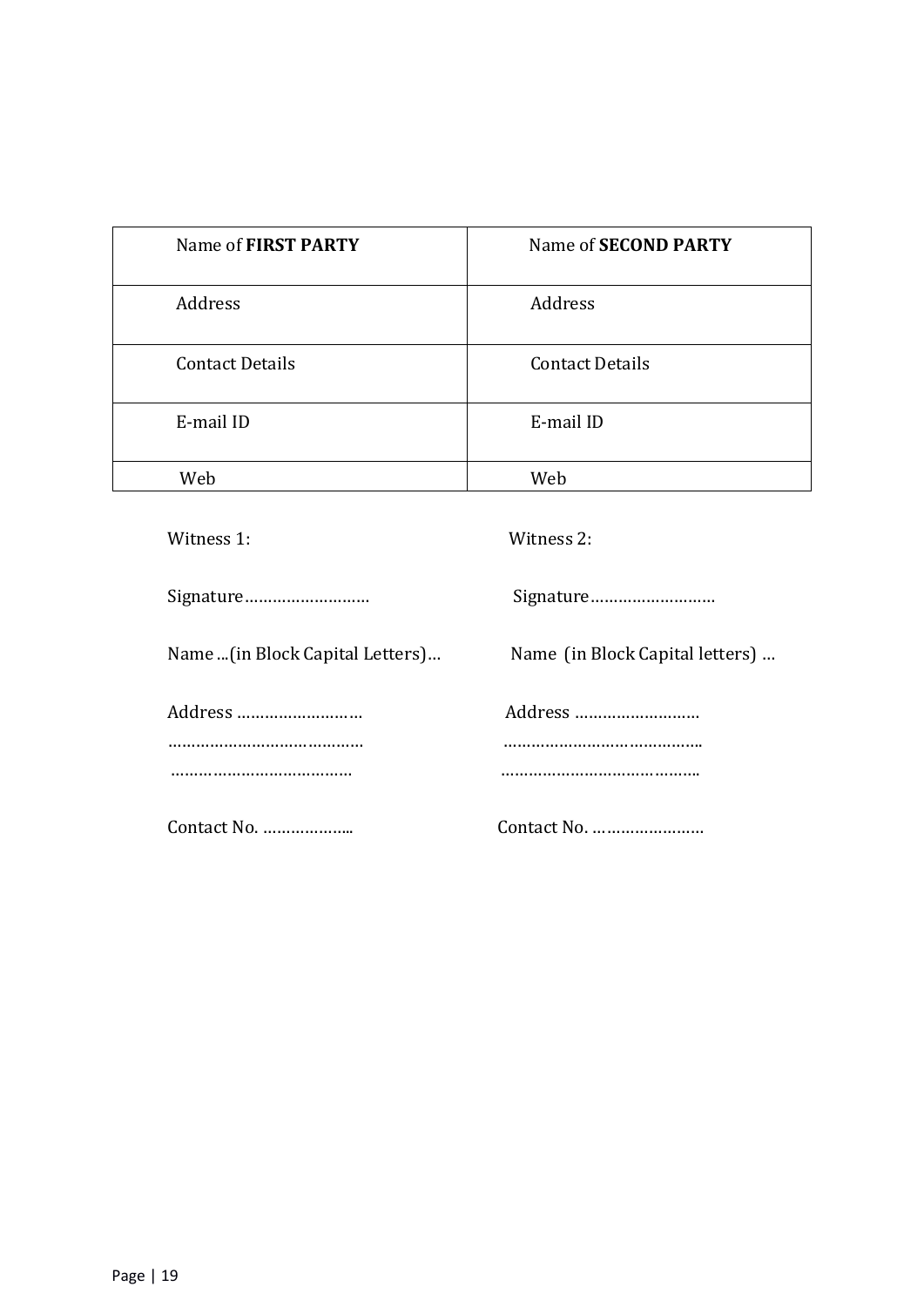| Name of FIRST PARTY    | Name of <b>SECOND PARTY</b> |
|------------------------|-----------------------------|
| Address                | Address                     |
| <b>Contact Details</b> | <b>Contact Details</b>      |
| E-mail ID              | E-mail ID                   |
| Web                    | Web                         |

| Witness 1:                       | Witness 2:                      |
|----------------------------------|---------------------------------|
|                                  |                                 |
| Name  (in Block Capital Letters) | Name (in Block Capital letters) |
| Address                          | Address                         |
|                                  |                                 |
| Contact No.                      | Contact No.                     |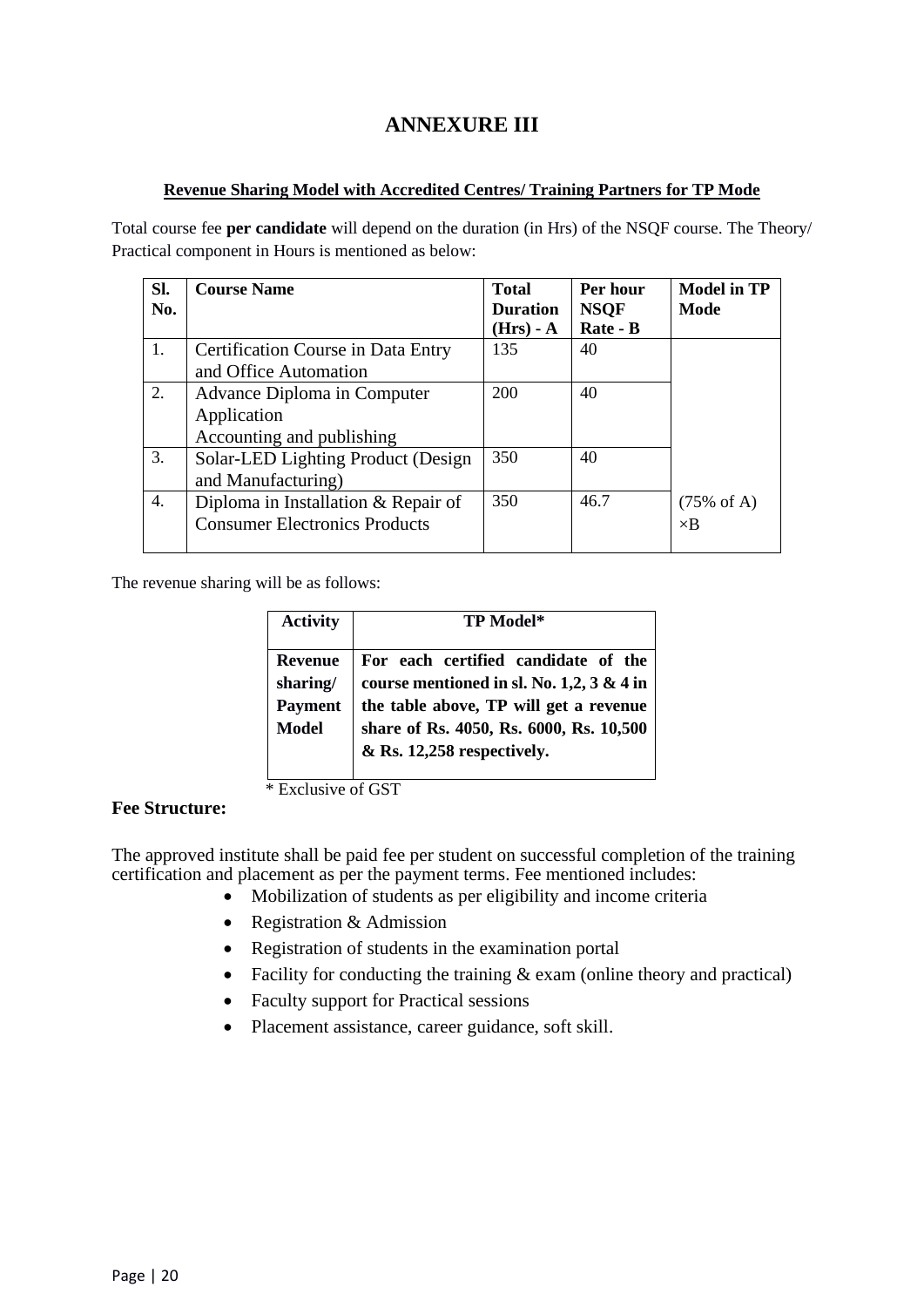## **ANNEXURE III**

#### **Revenue Sharing Model with Accredited Centres/ Training Partners for TP Mode**

Total course fee **per candidate** will depend on the duration (in Hrs) of the NSQF course. The Theory/ Practical component in Hours is mentioned as below:

| SI. | <b>Course Name</b>                        | <b>Total</b>    | Per hour    | <b>Model in TP</b>    |
|-----|-------------------------------------------|-----------------|-------------|-----------------------|
| No. |                                           | <b>Duration</b> | <b>NSOF</b> | Mode                  |
|     |                                           | $(Hrs) - A$     | Rate - B    |                       |
| 1.  | <b>Certification Course in Data Entry</b> | 135             | 40          |                       |
|     | and Office Automation                     |                 |             |                       |
| 2.  | Advance Diploma in Computer               | 200             | 40          |                       |
|     | Application                               |                 |             |                       |
|     | Accounting and publishing                 |                 |             |                       |
| 3.  | Solar-LED Lighting Product (Design        | 350             | 40          |                       |
|     | and Manufacturing)                        |                 |             |                       |
| 4.  | Diploma in Installation & Repair of       | 350             | 46.7        | $(75\% \text{ of A})$ |
|     | <b>Consumer Electronics Products</b>      |                 |             | $\times$ B            |
|     |                                           |                 |             |                       |

The revenue sharing will be as follows:

| <b>TP Model*</b>                             |  |  |
|----------------------------------------------|--|--|
| For each certified candidate of the          |  |  |
| course mentioned in sl. No. 1,2, $3 \& 4$ in |  |  |
| the table above, TP will get a revenue       |  |  |
| share of Rs. 4050, Rs. 6000, Rs. 10,500      |  |  |
| $&$ Rs. 12,258 respectively.                 |  |  |
|                                              |  |  |

 \* Exclusive of GST **Fee Structure:**

The approved institute shall be paid fee per student on successful completion of the training certification and placement as per the payment terms. Fee mentioned includes:

- Mobilization of students as per eligibility and income criteria
- Registration & Admission
- Registration of students in the examination portal
- Facility for conducting the training & exam (online theory and practical)
- Faculty support for Practical sessions
- Placement assistance, career guidance, soft skill.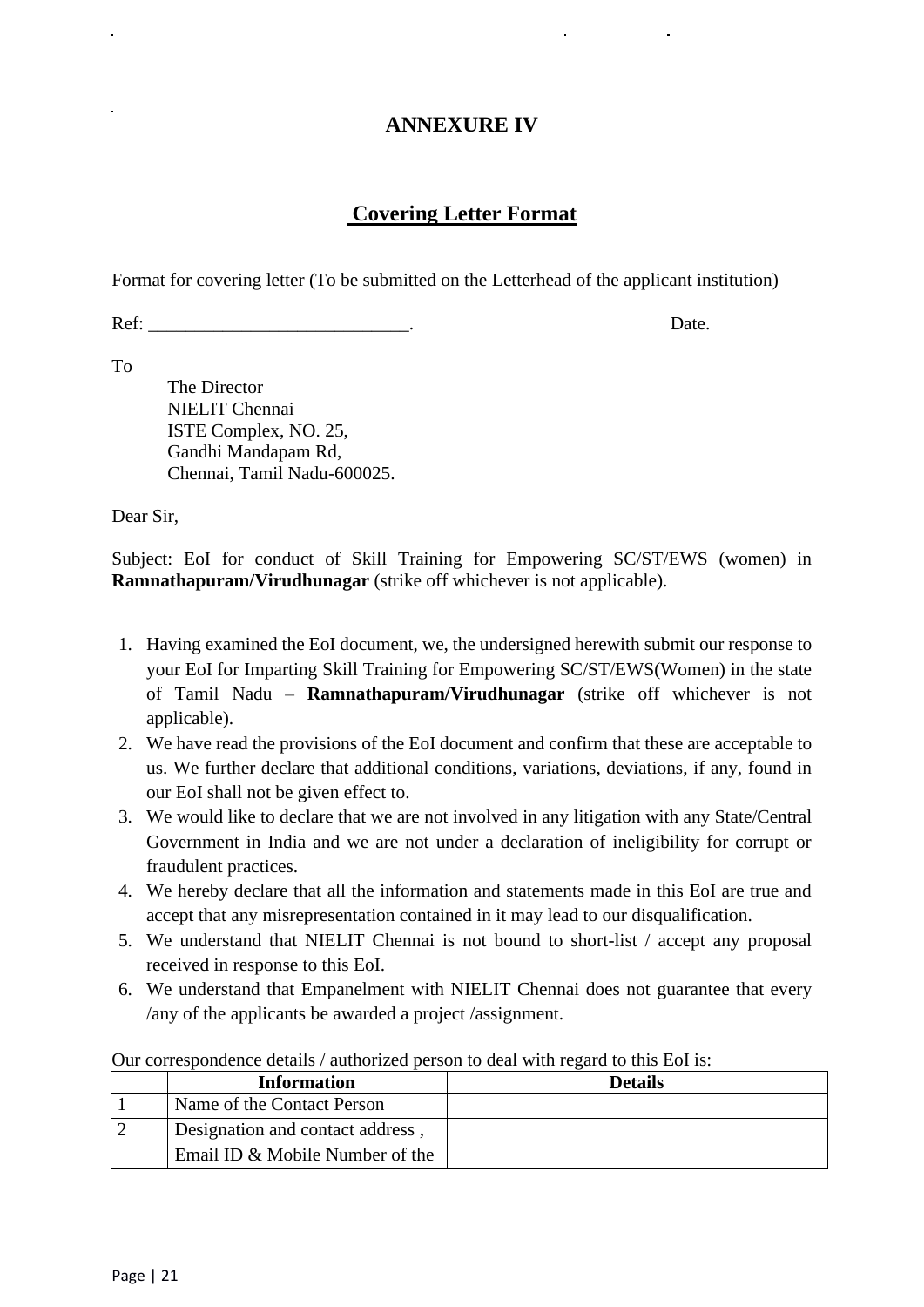## **ANNEXURE IV**

## **Covering Letter Format**

Format for covering letter (To be submitted on the Letterhead of the applicant institution)

Ref: Date.

To

The Director NIELIT Chennai ISTE Complex, NO. 25, Gandhi Mandapam Rd, Chennai, Tamil Nadu-600025.

Dear Sir,

Subject: EoI for conduct of Skill Training for Empowering SC/ST/EWS (women) in **Ramnathapuram/Virudhunagar** (strike off whichever is not applicable).

- 1. Having examined the EoI document, we, the undersigned herewith submit our response to your EoI for Imparting Skill Training for Empowering SC/ST/EWS(Women) in the state of Tamil Nadu – **Ramnathapuram/Virudhunagar** (strike off whichever is not applicable).
- 2. We have read the provisions of the EoI document and confirm that these are acceptable to us. We further declare that additional conditions, variations, deviations, if any, found in our EoI shall not be given effect to.
- 3. We would like to declare that we are not involved in any litigation with any State/Central Government in India and we are not under a declaration of ineligibility for corrupt or fraudulent practices.
- 4. We hereby declare that all the information and statements made in this EoI are true and accept that any misrepresentation contained in it may lead to our disqualification.
- 5. We understand that NIELIT Chennai is not bound to short-list / accept any proposal received in response to this EoI.
- 6. We understand that Empanelment with NIELIT Chennai does not guarantee that every /any of the applicants be awarded a project /assignment.

| <b>Information</b>               | <b>Details</b> |
|----------------------------------|----------------|
| Name of the Contact Person       |                |
| Designation and contact address, |                |
| Email ID & Mobile Number of the  |                |

Our correspondence details / authorized person to deal with regard to this EoI is: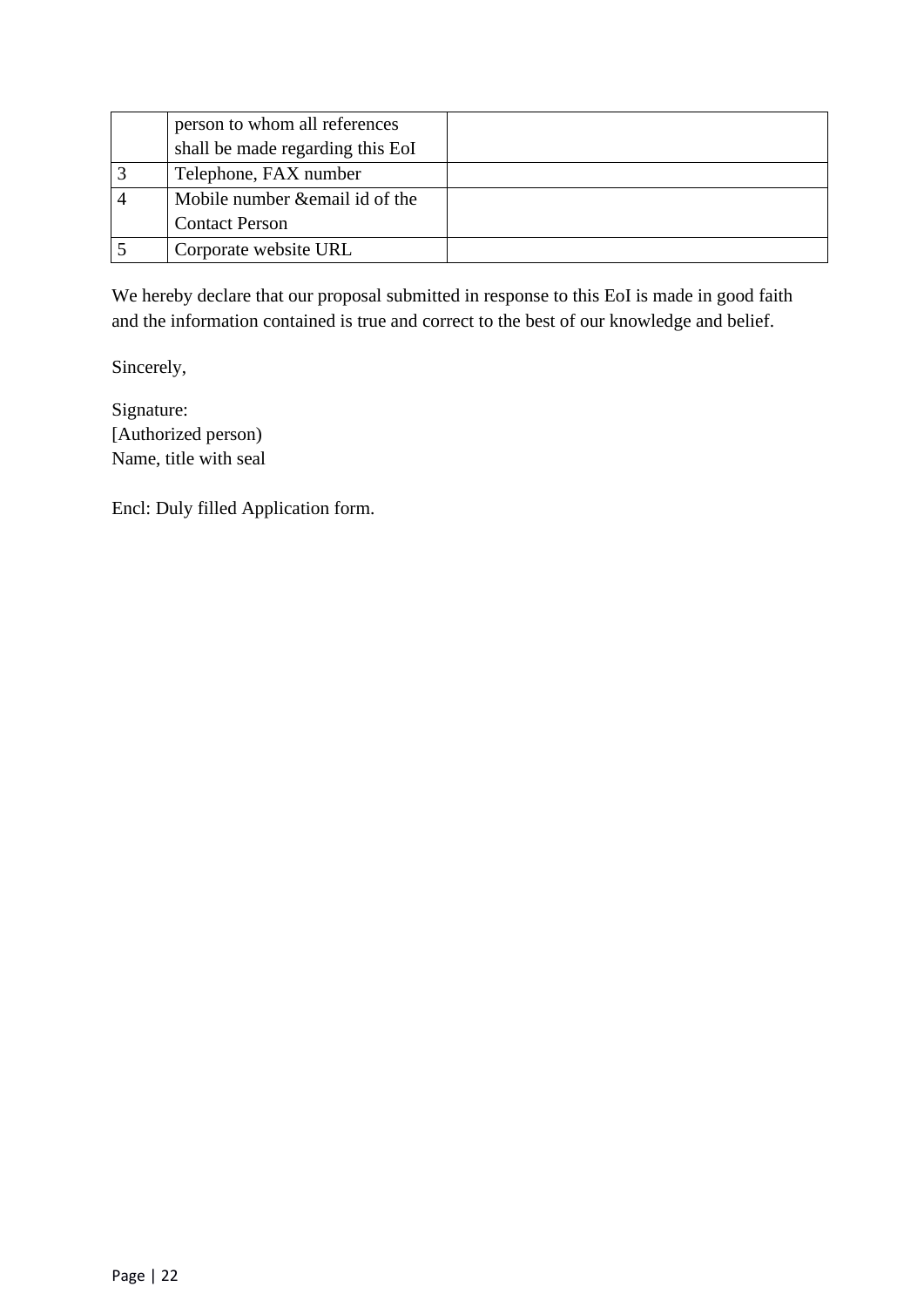| person to whom all references    |  |
|----------------------------------|--|
| shall be made regarding this EoI |  |
| Telephone, FAX number            |  |
| Mobile number & email id of the  |  |
| <b>Contact Person</b>            |  |
| Corporate website URL            |  |

We hereby declare that our proposal submitted in response to this EoI is made in good faith and the information contained is true and correct to the best of our knowledge and belief.

Sincerely,

Signature: [Authorized person) Name, title with seal

Encl: Duly filled Application form.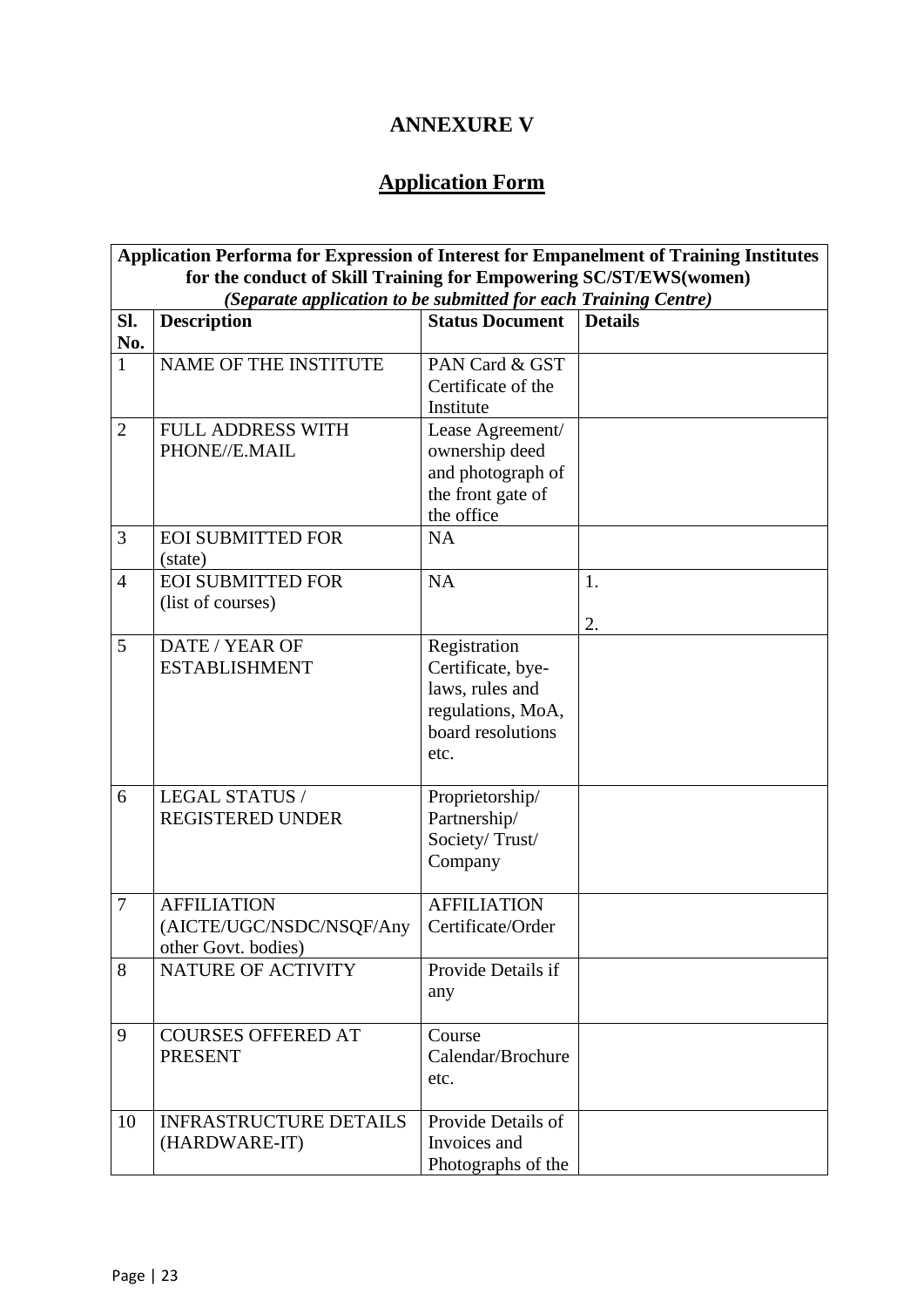## **ANNEXURE V**

## **Application Form**

| Application Performa for Expression of Interest for Empanelment of Training Institutes |                                                                 |                                         |                |  |
|----------------------------------------------------------------------------------------|-----------------------------------------------------------------|-----------------------------------------|----------------|--|
| for the conduct of Skill Training for Empowering SC/ST/EWS(women)                      |                                                                 |                                         |                |  |
|                                                                                        | (Separate application to be submitted for each Training Centre) |                                         |                |  |
| Sl.                                                                                    | <b>Description</b>                                              | <b>Status Document</b>                  | <b>Details</b> |  |
| No.                                                                                    |                                                                 |                                         |                |  |
| $\mathbf{1}$                                                                           | NAME OF THE INSTITUTE                                           | PAN Card & GST                          |                |  |
|                                                                                        |                                                                 | Certificate of the                      |                |  |
|                                                                                        |                                                                 | Institute                               |                |  |
| $\overline{2}$                                                                         | <b>FULL ADDRESS WITH</b>                                        | Lease Agreement/                        |                |  |
|                                                                                        | PHONE//E.MAIL                                                   | ownership deed                          |                |  |
|                                                                                        |                                                                 | and photograph of                       |                |  |
|                                                                                        |                                                                 | the front gate of                       |                |  |
|                                                                                        |                                                                 | the office<br><b>NA</b>                 |                |  |
| 3                                                                                      | <b>EOI SUBMITTED FOR</b><br>(state)                             |                                         |                |  |
| $\overline{4}$                                                                         | <b>EOI SUBMITTED FOR</b>                                        | <b>NA</b>                               | 1.             |  |
|                                                                                        | (list of courses)                                               |                                         |                |  |
|                                                                                        |                                                                 |                                         | 2.             |  |
| 5                                                                                      | DATE / YEAR OF                                                  | Registration                            |                |  |
|                                                                                        | <b>ESTABLISHMENT</b>                                            | Certificate, bye-                       |                |  |
|                                                                                        |                                                                 | laws, rules and                         |                |  |
|                                                                                        |                                                                 | regulations, MoA,<br>board resolutions  |                |  |
|                                                                                        |                                                                 | etc.                                    |                |  |
|                                                                                        |                                                                 |                                         |                |  |
| 6                                                                                      | LEGAL STATUS /                                                  | Proprietorship/                         |                |  |
|                                                                                        | REGISTERED UNDER                                                | Partnership/                            |                |  |
|                                                                                        |                                                                 | Society/Trust/                          |                |  |
|                                                                                        |                                                                 | Company                                 |                |  |
|                                                                                        |                                                                 |                                         |                |  |
| $\overline{7}$                                                                         | <b>AFFILIATION</b><br>(AICTE/UGC/NSDC/NSQF/Any                  | <b>AFFILIATION</b><br>Certificate/Order |                |  |
|                                                                                        | other Govt. bodies)                                             |                                         |                |  |
| 8                                                                                      | NATURE OF ACTIVITY                                              | Provide Details if                      |                |  |
|                                                                                        |                                                                 | any                                     |                |  |
|                                                                                        |                                                                 |                                         |                |  |
| 9                                                                                      | <b>COURSES OFFERED AT</b>                                       | Course                                  |                |  |
|                                                                                        | <b>PRESENT</b>                                                  | Calendar/Brochure                       |                |  |
|                                                                                        |                                                                 | etc.                                    |                |  |
| 10                                                                                     | <b>INFRASTRUCTURE DETAILS</b>                                   | Provide Details of                      |                |  |
|                                                                                        | (HARDWARE-IT)                                                   | Invoices and                            |                |  |
|                                                                                        |                                                                 | Photographs of the                      |                |  |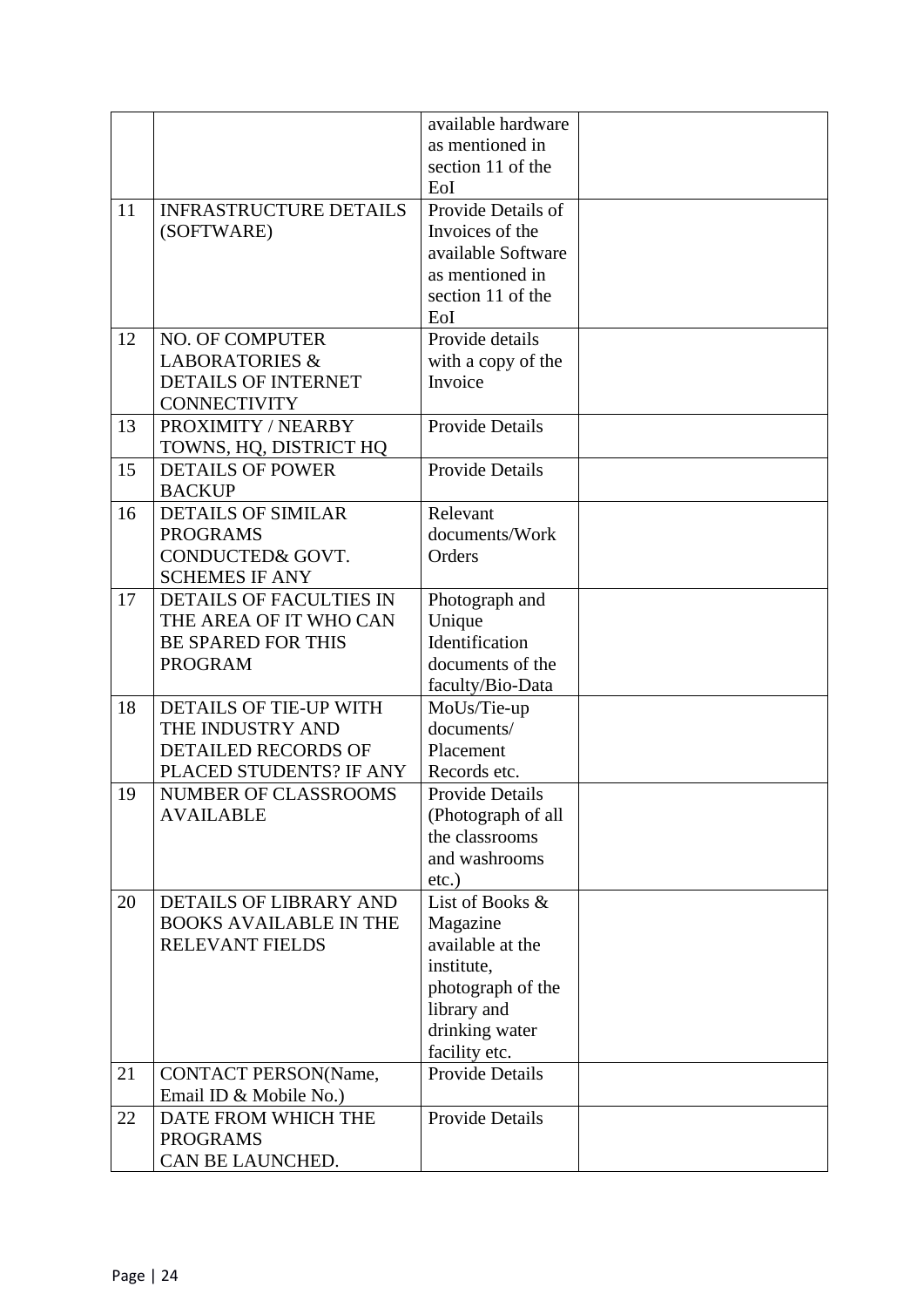|    |                                            | available hardware        |  |
|----|--------------------------------------------|---------------------------|--|
|    |                                            | as mentioned in           |  |
|    |                                            | section 11 of the         |  |
|    |                                            | EoI                       |  |
| 11 | <b>INFRASTRUCTURE DETAILS</b>              | Provide Details of        |  |
|    | (SOFTWARE)                                 | Invoices of the           |  |
|    |                                            | available Software        |  |
|    |                                            | as mentioned in           |  |
|    |                                            | section 11 of the         |  |
|    |                                            | EoI                       |  |
| 12 | <b>NO. OF COMPUTER</b>                     | Provide details           |  |
|    | <b>LABORATORIES &amp;</b>                  | with a copy of the        |  |
|    | <b>DETAILS OF INTERNET</b>                 | Invoice                   |  |
|    | <b>CONNECTIVITY</b>                        |                           |  |
| 13 | PROXIMITY / NEARBY                         | <b>Provide Details</b>    |  |
|    | TOWNS, HQ, DISTRICT HQ                     |                           |  |
| 15 | <b>DETAILS OF POWER</b>                    | <b>Provide Details</b>    |  |
|    | <b>BACKUP</b>                              |                           |  |
| 16 | <b>DETAILS OF SIMILAR</b>                  | Relevant                  |  |
|    | <b>PROGRAMS</b>                            | documents/Work            |  |
|    | CONDUCTED& GOVT.                           | Orders                    |  |
|    | <b>SCHEMES IF ANY</b>                      |                           |  |
| 17 | <b>DETAILS OF FACULTIES IN</b>             | Photograph and            |  |
|    | THE AREA OF IT WHO CAN                     | Unique                    |  |
|    | <b>BE SPARED FOR THIS</b>                  | Identification            |  |
|    | <b>PROGRAM</b>                             | documents of the          |  |
|    |                                            | faculty/Bio-Data          |  |
| 18 | DETAILS OF TIE-UP WITH<br>THE INDUSTRY AND | MoUs/Tie-up<br>documents/ |  |
|    | <b>DETAILED RECORDS OF</b>                 | Placement                 |  |
|    | PLACED STUDENTS? IF ANY                    | Records etc.              |  |
| 19 | <b>NUMBER OF CLASSROOMS</b>                | <b>Provide Details</b>    |  |
|    | <b>AVAILABLE</b>                           | (Photograph of all        |  |
|    |                                            | the classrooms            |  |
|    |                                            | and washrooms             |  |
|    |                                            | $etc.$ )                  |  |
| 20 | DETAILS OF LIBRARY AND                     | List of Books &           |  |
|    | <b>BOOKS AVAILABLE IN THE</b>              | Magazine                  |  |
|    | RELEVANT FIELDS                            | available at the          |  |
|    |                                            | institute,                |  |
|    |                                            | photograph of the         |  |
|    |                                            | library and               |  |
|    |                                            | drinking water            |  |
|    |                                            | facility etc.             |  |
| 21 | <b>CONTACT PERSON(Name,</b>                | <b>Provide Details</b>    |  |
|    | Email ID & Mobile No.)                     |                           |  |
| 22 | DATE FROM WHICH THE                        | <b>Provide Details</b>    |  |
|    | <b>PROGRAMS</b>                            |                           |  |
|    | CAN BE LAUNCHED.                           |                           |  |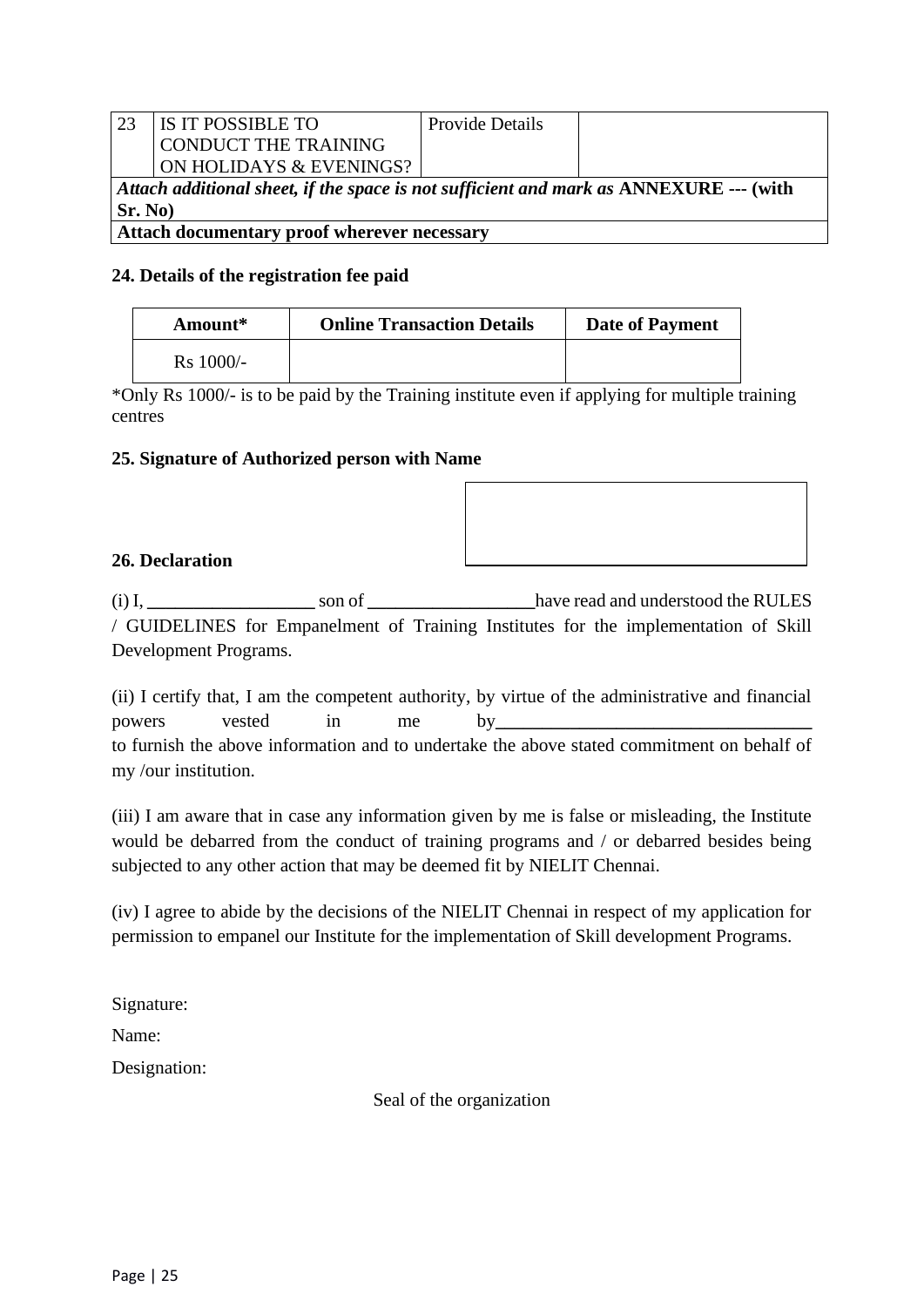| -23                                                                                               | <b>IS IT POSSIBLE TO</b> | <b>Provide Details</b> |  |
|---------------------------------------------------------------------------------------------------|--------------------------|------------------------|--|
|                                                                                                   | CONDUCT THE TRAINING     |                        |  |
|                                                                                                   | ON HOLIDAYS & EVENINGS?  |                        |  |
| Attach additional sheet, if the space is not sufficient and mark as $\triangle NNEXURE$ --- (with |                          |                        |  |
| Sr. No)                                                                                           |                          |                        |  |
| Attach documentary proof wherever necessary                                                       |                          |                        |  |

#### **24. Details of the registration fee paid**

| Amount*     | <b>Online Transaction Details</b> | <b>Date of Payment</b> |
|-------------|-----------------------------------|------------------------|
| $Rs$ 1000/- |                                   |                        |

\*Only Rs 1000/- is to be paid by the Training institute even if applying for multiple training centres

#### **25. Signature of Authorized person with Name**

#### **26. Declaration**

(i) I, **\_\_\_\_\_\_\_\_\_\_\_\_\_\_\_\_\_\_** son of **\_\_\_\_\_\_\_\_\_\_\_\_\_\_\_\_\_\_**have read and understood the RULES / GUIDELINES for Empanelment of Training Institutes for the implementation of Skill Development Programs.

(ii) I certify that, I am the competent authority, by virtue of the administrative and financial powers vested in me by to furnish the above information and to undertake the above stated commitment on behalf of my /our institution.

(iii) I am aware that in case any information given by me is false or misleading, the Institute would be debarred from the conduct of training programs and / or debarred besides being subjected to any other action that may be deemed fit by NIELIT Chennai.

(iv) I agree to abide by the decisions of the NIELIT Chennai in respect of my application for permission to empanel our Institute for the implementation of Skill development Programs.

Signature:

Name:

Designation:

Seal of the organization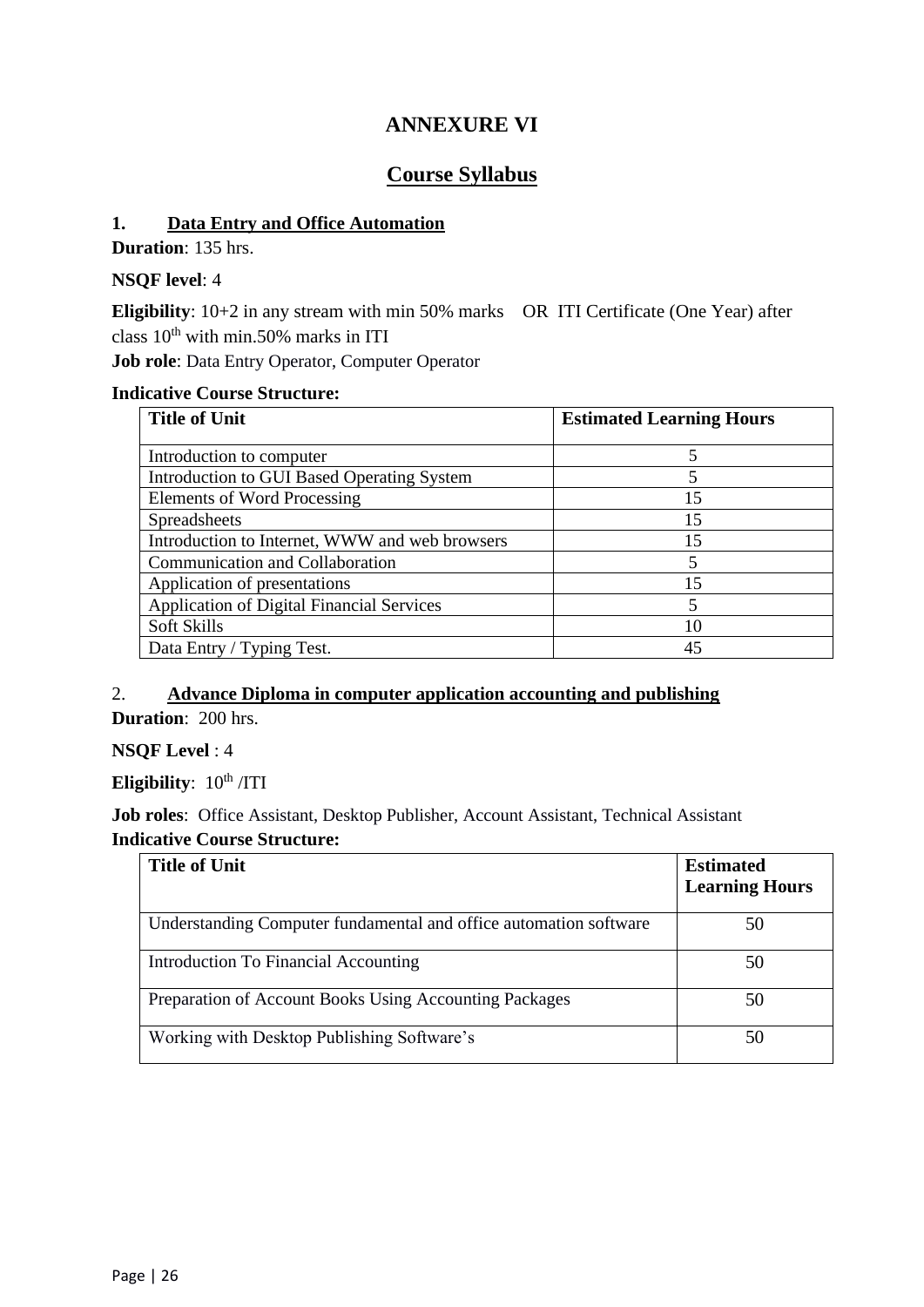## **ANNEXURE VI**

## **Course Syllabus**

#### **1. Data Entry and Office Automation**

**Duration**: 135 hrs.

#### **NSQF level**: 4

**Eligibility**: 10+2 in any stream with min 50% marks OR ITI Certificate (One Year) after class  $10^{th}$  with min.50% marks in ITI

**Job role**: Data Entry Operator, Computer Operator

#### **Indicative Course Structure:**

| <b>Title of Unit</b>                             | <b>Estimated Learning Hours</b> |
|--------------------------------------------------|---------------------------------|
|                                                  |                                 |
| Introduction to computer                         |                                 |
| Introduction to GUI Based Operating System       | 5                               |
| Elements of Word Processing                      | 15                              |
| <b>Spreadsheets</b>                              | 15                              |
| Introduction to Internet, WWW and web browsers   | 15                              |
| Communication and Collaboration                  |                                 |
| Application of presentations                     | 15                              |
| <b>Application of Digital Financial Services</b> | 5                               |
| Soft Skills                                      | 10                              |
| Data Entry / Typing Test.                        | 45                              |

### 2. **Advance Diploma in computer application accounting and publishing**

**Duration**: 200 hrs.

#### **NSQF Level** : 4

**Eligibility**:  $10^{th}$  /ITI

**Job roles**: Office Assistant, Desktop Publisher, Account Assistant, Technical Assistant **Indicative Course Structure:**

| <b>Title of Unit</b>                                              | <b>Estimated</b>      |
|-------------------------------------------------------------------|-----------------------|
|                                                                   | <b>Learning Hours</b> |
| Understanding Computer fundamental and office automation software | 50                    |
| Introduction To Financial Accounting                              | 50                    |
| Preparation of Account Books Using Accounting Packages            | 50                    |
| Working with Desktop Publishing Software's                        | 50                    |